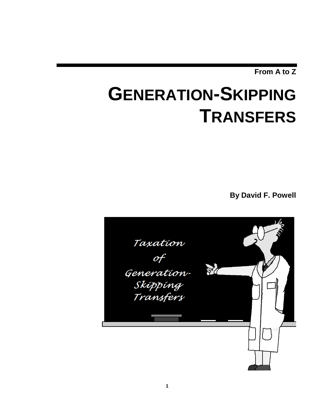**From A to Z**

# **GENERATION-SKIPPING TRANSFERS**

**By David F. Powell**

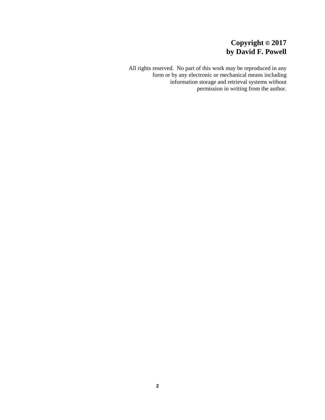# **Copyright © 2017 by David F. Powell**

All rights reserved. No part of this work may be reproduced in any form or by any electronic or mechanical means including information storage and retrieval systems without permission in writing from the author.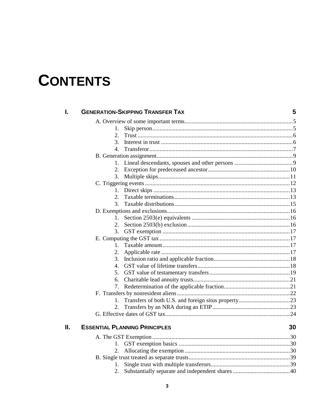# **CONTENTS**

| I. |             | <b>GENERATION-SKIPPING TRANSFER TAX</b>                   | 5  |
|----|-------------|-----------------------------------------------------------|----|
|    |             |                                                           |    |
|    | 1.          |                                                           |    |
|    | 2.          |                                                           |    |
|    | 3.          |                                                           |    |
|    | 4.          |                                                           |    |
|    |             |                                                           |    |
|    | $1_{\cdot}$ |                                                           |    |
|    |             |                                                           |    |
|    | 3.          |                                                           |    |
|    |             |                                                           |    |
|    |             |                                                           |    |
|    | 2.          |                                                           |    |
|    | 3.          |                                                           |    |
|    |             |                                                           |    |
|    | $1_{-}$     |                                                           |    |
|    | 2.          |                                                           |    |
|    | 3.          |                                                           |    |
|    |             |                                                           |    |
|    | $1_{-}$     |                                                           |    |
|    | 2.          |                                                           |    |
|    | 3.          |                                                           |    |
|    | 4.          |                                                           |    |
|    | 5.          |                                                           |    |
|    | 6.          |                                                           |    |
|    | 7.          |                                                           |    |
|    |             |                                                           |    |
|    |             |                                                           |    |
|    |             |                                                           |    |
|    |             |                                                           |    |
| Н. |             | <b>ESSENTIAL PLANNING PRINCIPLES</b>                      | 30 |
|    |             |                                                           |    |
|    |             |                                                           |    |
|    | 2.          |                                                           |    |
|    |             |                                                           |    |
|    |             |                                                           |    |
|    |             | 2 Substantially separate and independent shares 20 and 20 |    |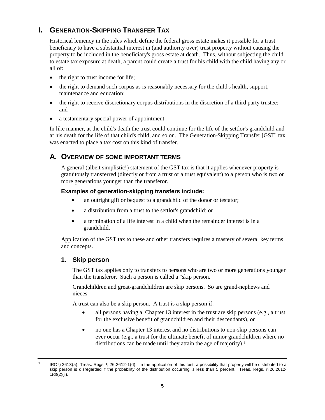# **I. GENERATION-SKIPPING TRANSFER TAX**

Historical leniency in the rules which define the federal gross estate makes it possible for a trust beneficiary to have a substantial interest in (and authority over) trust property without causing the property to be included in the beneficiary's gross estate at death. Thus, without subjecting the child to estate tax exposure at death, a parent could create a trust for his child with the child having any or all of:

- the right to trust income for life;
- the right to demand such corpus as is reasonably necessary for the child's health, support, maintenance and education;
- the right to receive discretionary corpus distributions in the discretion of a third party trustee; and
- a testamentary special power of appointment.

In like manner, at the child's death the trust could continue for the life of the settlor's grandchild and at his death for the life of that child's child, and so on. The Generation-Skipping Transfer [GST] tax was enacted to place a tax cost on this kind of transfer.

## **A. OVERVIEW OF SOME IMPORTANT TERMS**

A general (albeit simplistic!) statement of the GST tax is that it applies whenever property is gratuitously transferred (directly or from a trust or a trust equivalent) to a person who is two or more generations younger than the transferor.

## **Examples of generation-skipping transfers include:**

- an outright gift or bequest to a grandchild of the donor or testator;
- a distribution from a trust to the settlor's grandchild; or
- a termination of a life interest in a child when the remainder interest is in a grandchild.

Application of the GST tax to these and other transfers requires a mastery of several key terms and concepts.

## **1. Skip person**

The GST tax applies only to transfers to persons who are two or more generations younger than the transferor. Such a person is called a "skip person."

Grandchildren and great-grandchildren are skip persons. So are grand-nephews and nieces.

A trust can also be a skip person. A trust is a skip person if:

- all persons having a Chapter 13 interest in the trust are skip persons (e.g., a trust for the exclusive benefit of grandchildren and their descendants), or
- no one has a Chapter 13 interest and no distributions to non-skip persons can ever occur (e.g., a trust for the ultimate benefit of minor grandchildren where no distributions can be made until they attain the age of majority).<sup>1</sup>

<span id="page-4-0"></span><sup>&</sup>lt;sup>1</sup> IRC § 2613(a); Treas. Regs. § 26.2612-1(d). In the application of this test, a possibility that property will be distributed to a skip person is disregarded if the probability of the distribution occurring is less than 5 percent. Treas. Regs. § 26.2612- 1(d)(2)(ii).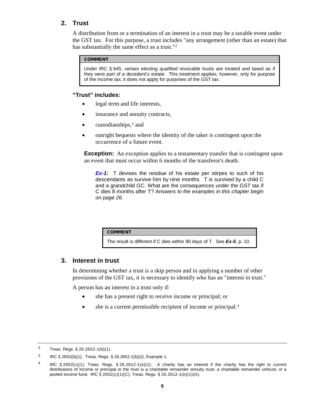## **2. Trust**

A distribution from or a termination of an interest in a trust may be a taxable event under the GST tax. For this purpose, a trust includes "any arrangement (other than an estate) that has substantially the same effect as a trust."[2](#page-5-0) 

## **COMMENT**

Under IRC § 645, certain electing qualified revocable trusts are treated and taxed as if they were part of a decedent's estate. This treatment applies, however, only for purpose of the income tax; it does not apply for purposes of the GST tax.

## **"Trust" includes:**

- legal term and life interests,
- insurance and annuity contracts,
- $\bullet$  custodianships,<sup>[3](#page-5-1)</sup> and
- outright bequests where the identity of the taker is contingent upon the occurrence of a future event.

**Exception:** An exception applies to a testamentary transfer that is contingent upon an event that must occur within 6 months of the transferor's death.

*Ex-1:* T devises the residue of his estate per stirpes to such of his descendants as survive him by nine months. T is survived by a child C and a grandchild GC. What are the consequences under the GST tax if C dies 8 months after T? *Answers to the examples in this chapter begin on page 26.*

| <b>COMMENT</b>                                                          |  |
|-------------------------------------------------------------------------|--|
| The result is different if C dies within 90 days of T. See Ex-5, p. 10. |  |

## **3. Interest in trust**

In determining whether a trust is a skip person and in applying a number of other provisions of the GST tax, it is necessary to identify who has an "interest in trust."

A person has an interest in a trust only if:

- she has a present right to receive income or principal; or
- she is a current permissible recipient of income or principal.<sup>[4](#page-5-2)</sup>

<span id="page-5-0"></span><sup>2</sup> Treas. Regs. § 26.2652-1(b)(1).

<span id="page-5-1"></span><sup>3</sup> IRC § 2652(b)(1); Treas. Regs. § 26.2652-1(b)(2), Example 1.

<span id="page-5-2"></span><sup>&</sup>lt;sup>4</sup> IRC § 2652(c)(1); Treas. Regs. § 26.2612-1(e)(1). A charity has an interest if the charity has the right to current distributions of income or principal or the trust is a charitable remainder annuity trust, a charitable remainder unitrust, or a pooled income fund. IRC § 2652(c)(1)(C); Treas. Regs. § 26.2612-1(e)(1)(iii).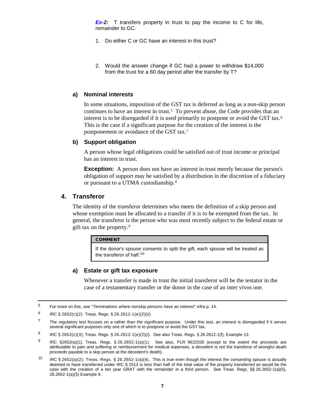**Ex-2:** T transfers property in trust to pay the income to C for life, remainder to GC.

- 1. Do either C or GC have an interest in this trust?
- 2. Would the answer change if GC had a power to withdr[a](#page--1-0)w \$14,000 from the trust for a 60 day period after the transfer by T?

#### **a) Nominal interests**

In some situations, imposition of the GST tax is deferred as long as a non-skip person continues to have an interest in trust.[5](#page-6-0) To prevent abuse, the Code provides that an interest is to be disregarded if it is used primarily to postpone or avoid the GST tax.<sup>[6](#page-6-1)</sup> This is the case if a significant purpose for the creation of the interest is the postponement or avoidance of the GST tax.[7](#page-6-2)

#### **b) Support obligation**

A person whose legal obligations could be satisfied out of trust income or principal has an interest in trust.

**Exception:** A person does not have an interest in trust merely because the person's obligation of support may be satisfied by a distribution in the discretion of a fiduciary or pursuant to a UTMA custodianship.[8](#page-6-3)

## **4. Transferor**

The identity of the transferor determines who meets the definition of a skip person and whose exemption must be allocated to a transfer if it is to be exempted from the tax. In general, the transferor is the person who was most recently subject to the federal estate or gift tax on the property.[9](#page-6-4) 

#### COMMENT

If the donor's spouse consents to split the gift, each spouse will be treated as the transferor of half.<sup>[10](#page-6-5)</sup>

#### **a) Estate or gift tax exposure**

Whenever a transfer is made in trust the initial transferor will be the testator in the case of a testamentary transfer or the donor in the case of an inter vivos one.

<span id="page-6-0"></span><sup>5</sup> For more on this, see "*Terminations where nonskip persons have an interest*" infra p. 14.

<span id="page-6-1"></span><sup>6</sup> IRC  $\S 2652(c)(2)$ . Treas. Regs.  $\S 26.2612-1(e)(2)(ii)$ 

<span id="page-6-2"></span><sup>7</sup> The regulatory test focuses on *a* rather than *the* significant purpose. Under this test, an interest is disregarded if it serves several significant purposes only one of which is to postpone or avoid the GST tax.

<span id="page-6-3"></span><sup>8</sup> IRC § 2652(c)(3); Treas. Regs. § 26.2612-1(e)(2)(i). See also Treas. Regs. § 26.2612-1(f), Example 13.

<span id="page-6-4"></span><sup>9</sup> IRC §2652(a)(1); Treas. Regs. § 26.2652-1(a)(1). See also, PLR 9622035 (except to the extent the proceeds are attributable to pain and suffering or reimbursement for medical expenses, a decedent is not the transferor of wrongful death proceeds payable to a skip person at the decedent's death).

<span id="page-6-5"></span><sup>10</sup> IRC § 2652(a)(2); Treas. Regs. § 26.2652-1(a)(4). This is true even though the interest the consenting spouse is actually deemed to have transferred under IRC § 2513 is less than half of the total value of the property transferred as would be the case with the creation of a ten year GRAT with the remainder in a third person. See Treas. Regs. §§ 26.2652-1(a)(5), 26.2652-1(a)(5) Example 9.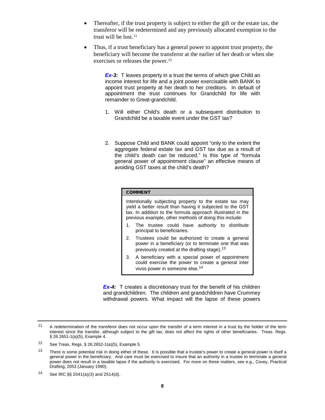- Thereafter, if the trust property is subject to either the gift or the estate tax, the transferor will be redetermined and any previously allocated exemption to the trust will be lost <sup>[11](#page-7-0)</sup>
- Thus, if a trust beneficiary has a general power to appoint trust property, the beneficiary will become the transferor at the earlier of her death or when she exercises or releases the power.<sup>12</sup>

**Ex-3:** T leaves property in a trust the terms of which give Child an income interest for life and a joint power exercisable with BANK to appoint trust property at her death to her creditors. In default of appointment the trust continues for Grandchild for life with remainder to Great-grandchild.

- 1. Will either Child's death or a subsequent distribution to Grandchild be a taxable event under the GST tax?
- 2. Suppose Child and BANK could appoint "only to the extent the aggregate federal estate tax and GST tax due as a result of the child's death can be reduced." Is this type of "formula general power of appointment clause" an effective means of avoiding GST taxes at the child's death?

#### COMMENT

Intentionally subjecting property to the estate tax may yield a better result than having it subjected to the GST tax. In addition to the formula approach illustrated in the previous example, other methods of doing this include:

- 1. The trustee could have authority to distribute principal to beneficiaries.
- 2. Trustees could be authorized to create a general power in a beneficiary (or to terminate one that was previously created at the drafting stage).<sup>[13](#page-7-2)</sup>
- 3. A beneficiary with a special power of appointment could exercise the power to create a general inter vivos power in someone else.[14](#page-7-3)

*Ex-4:* T creates a discretionary trust for the benefit of his children and grandchildren. The children and grandchildren have Crummey withdrawal powers. What impact will the lapse of these powers

<span id="page-7-0"></span><sup>11</sup> A redetermination of the transferor does not occur upon the transfer of a term interest in a trust by the holder of the term interest since the transfer, although subject to the gift tax, does not affect the rights of other beneficiaries. Treas. Regs. § 26.2651-1(a)(5), Example 4.

<span id="page-7-1"></span><sup>12</sup> See Treas. Regs.  $\S$  26.2652-1(a)(5), Example 5.

<span id="page-7-2"></span><sup>&</sup>lt;sup>13</sup> There is some potential risk in doing either of these. It is possible that a trustee's power to create a general power is itself a general power in the beneficiary. And care must be exercised to insure that an authority in a trustee to terminate a general power does not result in a taxable lapse if the authority is exercised. For more on these matters, see e.g., Covey, Practical Drafting, 2053 (January 1990).

<span id="page-7-3"></span><sup>14</sup> See IRC §§ 2041(a)(3) and 2514(d).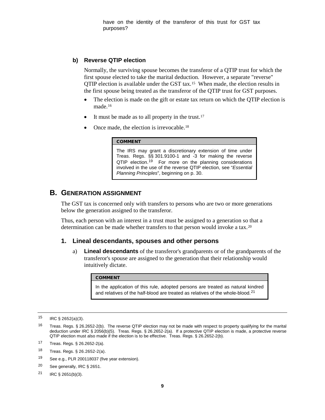have on t[h](#page--1-1)e identity of the transferor of this trust for GST tax purposes?

## **b) Reverse QTIP election**

Normally, the surviving spouse becomes the transferor of a QTIP trust for which the first spouse elected to take the marital deduction. However, a separate "reverse" QTIP election is available under the GST tax.[15](#page-8-0) When made, the election results in the first spouse being treated as the transferor of the QTIP trust for GST purposes.

- The election is made on the gift or estate tax return on which the QTIP election is made.[16](#page-8-1)
- It must be made as to all property in the trust.<sup>[17](#page-8-2)</sup>
- Once made, the election is irrevocable.<sup>[18](#page-8-3)</sup>

#### COMMENT

The IRS may grant a discretionary extension of time under Treas. Regs. §§ 301.9100-1 and -3 for making the reverse  $QTIP$  election.<sup>19</sup> For more on the planning considerations involved in the use of the reverse QTIP election, see "*[Essential](#page-29-0)  [Planning Principles](#page-29-0)*", beginning on p. 30.

## **B. GENERATION ASSIGNMENT**

The GST tax is concerned only with transfers to persons who are two or more generations below the generation assigned to the transferor.

Thus, each person with an interest in a trust must be assigned to a generation so that a determination can be made whether transfers to that person would invoke a tax.<sup>[20](#page-8-5)</sup>

## **1. Lineal descendants, spouses and other persons**

a) **Lineal descendants** of the transferor's grandparents or of the grandparents of the transferor's spouse are assigned to the generation that their relationship would intuitively dictate.

#### **COMMENT**

In the application of this rule, adopted persons are treated as natural kindred and relatives of the half-blood are treated as relatives of the whole-blood.<sup>[21](#page-8-6)</sup>

- <span id="page-8-4"></span><sup>19</sup> See e.g., PLR 200118037 (five year extension).
- <span id="page-8-5"></span><sup>20</sup> See generally, IRC § 2651.
- <span id="page-8-6"></span><sup>21</sup> IRC § 2651(b)(3).

<span id="page-8-0"></span> $15$  IRC § 2652(a)(3).

<span id="page-8-1"></span><sup>16</sup> Treas. Regs. § 26.2652-2(b). The reverse QTIP election may not be made with respect to property qualifying for the marital deduction under IRC § 2056(b)(5). Treas. Regs. § 26.2652-2(a). If a protective QTIP election is made, a protective reverse QTIP election must also made if the election is to be effective. Treas. Regs. § 26.2652-2(b).

<span id="page-8-2"></span><sup>17</sup> Treas. Regs. § 26.2652-2(a).

<span id="page-8-3"></span><sup>18</sup> Treas. Regs. § 26.2652-2(a).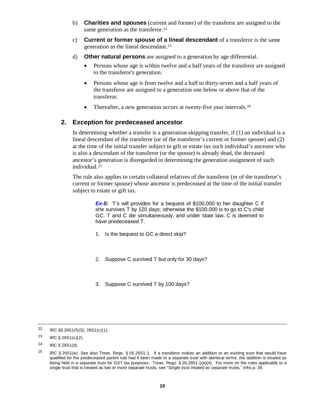- b) **Charities and spouses** (current and former) of the transferor are assigned to the same generation as the transferor.<sup>22</sup>
- c) **Current or former spouse of a lineal descendant** of a transferor is the same generation as the lineal descendant.[23](#page-9-1)
- d) **Other natural persons** are assigned to a generation by age differential.
	- Persons whose age is within twelve and a half years of the transferor are assigned to the transferor's generation.
	- Persons whose age is from twelve and a half to thirty-seven and a half years of the transferor are assigned to a generation one below or above that of the transferor.
	- Thereafter, a new generation occurs at twenty-five year intervals. $24$

## **2. Exception for predeceased ancestor**

In determining whether a transfer is a generation-skipping transfer, if (1) an individual is a lineal descendant of the transferor (or of the transferor's current or former spouse) and (2) at the time of the initial transfer subject to gift or estate tax such individual's ancestor who is also a descendant of the transferor (or the spouse) is already dead, the deceased ancestor's generation is disregarded in determining the generation assignment of such individual.[25](#page-9-3) 

The rule also applies to certain collateral relatives of the transferor (or of the transferor's current or former spouse) whose ancestor is predeceased at the time of the initial transfer subject to estate or gift tax.

> **Ex-5:** T's will provides for a bequest of \$100,000 to her daughter C if she survives T by 120 days; otherwise the \$100,000 is to go to C's child GC. T and C die simultaneously, and under state law, C is deemed to have predeceased T.

- 1. Is the bequest to GC a direct skip?
- 2. Suppose C survived T but only for 30 days?
- 3. Suppose C survived T by 100 days?

<span id="page-9-0"></span><sup>22</sup> IRC  $\S$ § 2651(f)(3); 2651(c)(1).

<span id="page-9-1"></span><sup>23</sup> IRC  $\S$  2651(c)(2).

<span id="page-9-2"></span> $24$  IRC § 2651(d).

<span id="page-9-3"></span><sup>&</sup>lt;sup>25</sup> IRC § 2651(e); See also Treas. Regs. § 26.2651-1. If a transferor makes an addition to an existing trust that would have qualified for the predeceased parent rule had it been made to a separate trust with identical terms, the addition is treated as being held in a separate trust for GST tax purposes. Treas. Regs. § 26.2651-1(a)(4). For more on the rules applicable to a single trust that is treated as two or more separate trusts, see "*Single trust treated as separate* trusts," infra p. 39.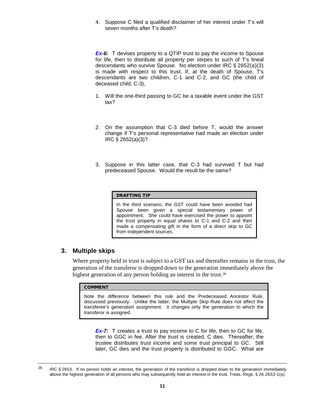4. Suppose C filed a qualified disclaimer of her interest under T's will seven months after T's death?

*Ex-6:* T devises property to a QTIP trust to pay the income to Spouse for life, then to distribute all property per stirpes to such of T's lineal descendants who survive Spouse. No election under IRC § 2652(a)(3) is made with respect to this trust. If, at the death of Spouse, T's descendants are two children, C-1 and C-2, and GC (the child of deceased child, C-3),

- 1. Will the one-third passing to GC be a taxable event under the GST tax?
- 2. On the assumption that C-3 died before T, would the answer change if T's personal representative had made an election under IRC § 2652(a)(3)?
- 3. Suppose in this latter case, that C-3 had surviv[ed](#page--1-2) T but had predeceased Spouse. Would the result be the same?

#### DRAFTING TIP

In the third scenario, the GST could have been avoided had Spouse been given a special testamentary power of appointment. She could have exercised the power to appoint the trust property in equal shares to C-1 and C-2 and then made a compensating gift in the form of a direct skip to GC from independent sources.

## **3. Multiple skips**

Where property held in trust is subject to a GST tax and thereafter remains in the trust, the generation of the transferor is dropped down to the generation immediately above the highest generation of any person holding an interest in the trust.<sup>[26](#page-10-0)</sup>

### COMMENT

Note the difference between this rule and the Predeceased Ancestor Rule, discussed previously. Unlike the latter, the Multiple Skip Rule does not affect the transferee's generation assignment. It changes only the generation to which the transferor is assigned.

*Ex-7:* T creates a trust to pay income to C for life, then to GC for life, then to GGC in fee. After the trust is created, C dies. Thereafter, the trustee distributes trust income and some trust principal to GC. Still later, GC dies and the trust property is distributed to GGC. What are

<span id="page-10-0"></span><sup>&</sup>lt;sup>26</sup> IRC § 2653. If no person holds an interest, the generation of the transferor is dropped down to the generation immediately above the highest generation of all persons who may subsequently hold an interest in the trust. Treas. Regs. § 26.2653-1(a).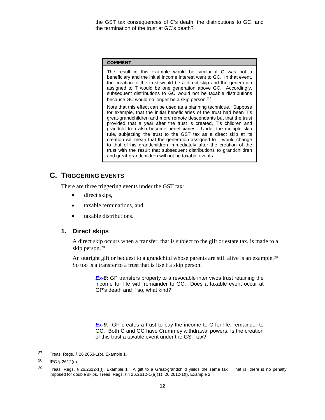the GST tax consequences of C's death, the distributions to GC, and the termination of the trust at GC's death?

#### COMMENT

The result in this example would be similar if C was not a beneficiary and the initial income interest went to GC. In that event, the creation of the trust would be a direct skip and the generation assigned to T would be one generation above GC. Accordingly, subsequent distributions to GC would not be taxable distributions because GC would no longer be a skip person.[27](#page-11-0)

Note that this effect can be used as a planning technique. Suppose for example, that the initial beneficiaries of the trust had been T's great-grandchildren and more remote descendants but that the trust provided that a year after the trust is created, T's children and grandchildren also become beneficiaries. Under the multiple skip rule, subjecting the trust to the GST tax as a direct skip at its creation will mean that the generation assigned to T would change to that of his grandchildren immediately after the creation of the trust with the result that subsequent distributions to grandchildren and great-grandchildren will not be taxable events.

# **C. TRIGGERING EVENTS**

There are three triggering events under the GST tax:

- direct skips,
- taxable terminations, and
- taxable distributions.

## **1. Direct skips**

A direct skip occurs when a transfer, that is subject to the gift or estate tax, is made to a skip person.[28](#page-11-1) 

An outright gift or bequest to a grandchild whose parents are still alive is an example.<sup>29</sup> So too is a transfer to a trust that is itself a skip person.

> *Ex-8:* GP transfers property to a revocable inter vivos trust retaining the income for life with remainder to GC. Does a taxable event occur at GP's death and if so, what kind?

> *Ex-9*: GP creates a trust to pay the income to C for life, remainder to GC. Both C and GC have Crummey withdraw[al](#page--1-3) powers. Is the creation of this trust a taxable event under the GST tax?

<span id="page-11-0"></span><sup>27</sup> Treas. Regs. § 26.2653-1(b), Example 1.

<span id="page-11-1"></span><sup>28</sup> IRC § 2612(c).

<span id="page-11-2"></span><sup>&</sup>lt;sup>29</sup> Treas. Regs. § 26.2612-1(f), Example 1. A gift to a Great-grandchild yields the same tax. That is, there is no penalty imposed for double skips. Treas. Regs. §§ 26.2612-1(a)(1), 26.2612-1(f), Example 2.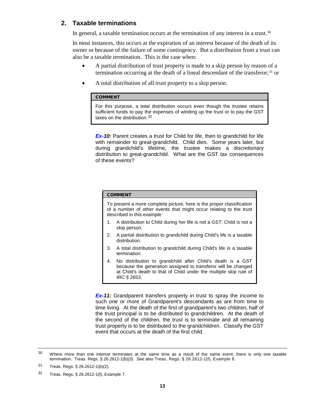## **2. Taxable terminations**

In general, a taxable termination occurs at the termination of any interest in a trust.<sup>[30](#page-12-0)</sup>

In most instances, this occurs at the expiration of an interest because of the death of its owner or because of the failure of some contingency. But a distribution from a trust can also be a taxable termination. This is the case when:

- A partial distribution of trust property is made to a skip person by reason of a termination occurring at the death of a lineal descendant of the transferor;[31](#page-12-1) or
- A total distribution of all trust property to a skip person.

#### COMMENT

For this purpose, a total distribution occurs even though the trustee retains sufficient funds to pay the expenses of winding up the trust or to pay the GST taxes on the distribution.<sup>[32](#page-12-2)</sup>

**Ex-10:** Parent creates a trust for Child for life, then to grandchild for life with remainder to great-grandchild. Child dies. Some years later, but during grandchild's lifetime, the trustee makes a discretionary distribution to great-grandchild. What are the GST tax consequences of these events?

#### COMMENT

To present a more complete picture, here is the proper classification of a number of other events that might occur relating to the trust described in this example:

- 1. A distribution to Child during her life is not a GST; Child is not a skip person.
- 2. A partial distribution to grandchild during Child's life is a taxable distribution.
- 3. A total distribution to grandchild during Child's life is a taxable termination.
- 4. No distribution to grandchild after Child's death is a GST because the generation assigned to transferor will be changed at Child's death to that of Child under the multiple skip rule of IRC § 2653.

**Ex-11:** Grandparent transfers property in trust to spray the income to such one or more of Grandparent's descendants as are from time to time living. At the death of the first of grandparent's two children, half of the trust principal is to be distributed to grandchildren. At the death of the second of the children, the trust is to terminate and all remaining trust property is to be distributed to the grandchildren. Classify the GST event that occurs at the death of the first child.

<span id="page-12-0"></span><sup>&</sup>lt;sup>30</sup> Where more than one interest terminates at the same time as a result of the same event, there is only one taxable termination. Treas. Regs. § 26.2612-1(b)(3). See also Treas. Regs. § 26.2612-1(f), Example 8.

<span id="page-12-1"></span><sup>31</sup> Treas. Regs. § 26.2612-1(b)(2).

<span id="page-12-2"></span><sup>32</sup> Treas. Regs. § 26.2612-1(f), Example 7.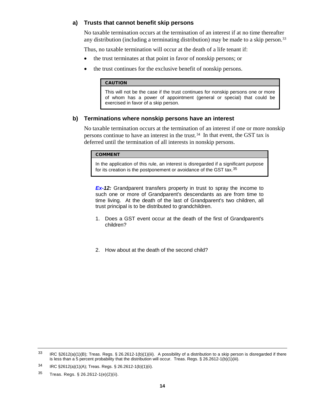#### **a) Trusts that cannot benefit skip persons**

No taxable termination occurs at the termination of an interest if at no time thereafter any distribution (including a terminating distribution) may be made to a skip person.[33](#page-13-0)

Thus, no taxable termination will occur at the death of a life tenant if:

- the trust terminates at that point in favor of nonskip persons; or
- the trust continues for the exclusive benefit of nonskip persons.

#### **CAUTION**

This will not be the case if the trust continues for nonskip persons one or more of whom has a power of appointment (general or special) that could be exercised in favor of a skip person.

#### **b) Terminations where nonskip persons have an interest**

No taxable termination occurs at the termination of an interest if one or more nonskip persons continue to have an interest in the trust.[34](#page-13-1) In that event, the GST tax is deferred until the termination of all interests in nonskip persons.

#### **COMMENT**

In the application of this rule, an interest is disregarded if a significant purpose for its creation is the postponement or avoidance of the GST tax.<sup>[35](#page-13-2)</sup>

*Ex-12:* Grandparent transfers property in trust to spray the income to such one or more of Grandparent's descendants as are from time to time living. At the death of the last of Grandparent's two children, all trust principal is to be distributed to grandchildren.

- 1. Does a GST event occur at the death of the first of Grandparent's children?
- 2. How about at the death of the second child?

<span id="page-13-0"></span> $33$  IRC §2612(a)(1)(B); Treas. Regs. § 26.2612-1(b)(1)(iii). A possibility of a distribution to a skip person is disregarded if there is less than a 5 percent probability that the distribution will occur. Treas. Regs. § 26.2612-1(b)(1)(iii).

<span id="page-13-1"></span><sup>34</sup> IRC §2612(a)(1)(A); Treas. Regs. § 26.2612-1(b)(1)(ii).

<span id="page-13-2"></span><sup>35</sup> Treas. Regs. § 26.2612-1(e)(2)(ii).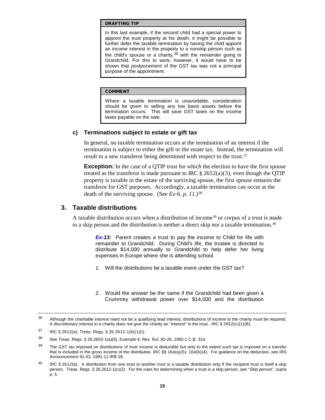#### DRAFTING TIP

In this last example, if the second child had a special power to appoint the trust property at his death, it might be possible to further defer the taxable termination by having the child appoint an income interest in the property to a nonskip person such as the child's spouse or a charity,  $36$  with the remainder going to Grandchild. For this to work, however, it would have to be shown that postponement of the GST tax was not a principal purpose of the appointment.

#### COMMENT

Where a taxable termination is unavoidable, consideration should be given to selling any low basis assets before the termination occurs. This will save GST taxes on the income taxes payable on the sale.

#### **c) Terminations subject to estate or gift tax**

In general, no taxable termination occurs at the termination of an interest if the termination is subject to either the gift or the estate tax. Instead, the termination will result in a new transferor being determined with respect to the trust.<sup>[37](#page-14-1)</sup>

**Exception:** In the case of a QTIP trust for which the election to have the first spouse treated as the transferor is made pursuant to IRC  $\S$  2652(a)(3), even though the QTIP property is taxable in the estate of the surviving spouse, the first spouse remains the transferor for GST purposes. Accordingly, a taxable termination can occur at the death of the surviving spouse. (See  $Ex-6$ , p. 11.)<sup>[38](#page-14-2)</sup>

## **3. Taxable distributions**

A taxable distribution occurs when a distribution of income[39](#page-14-3) or corpus of a trust is made to a skip person and the distribution is neither a direct skip nor a taxable termination.<sup>[40](#page-14-4)</sup>

> *Ex-13:* Parent creates a trust to pay the income to Child for life with remainder to Grandchild. During Child's life, the trustee is directed to distribute \$14,000 annually to Grandchild to help defer her living expenses in Europe where she is attending school.

- 1. Will the distributions be a taxable event under the GST tax?
- 2. Would the answer be the same if the Grandchild had been given a Crummey withdrawal power over \$14,000 and the distribution

<span id="page-14-0"></span> $36$  Although the charitable interest need not be a qualifying lead interest, distributions of income to the charity must be required. A discretionary interest in a charity does not give the charity an "interest" in the trust. IRC  $\S 2652(c)(1)(B)$ .

<span id="page-14-1"></span><sup>37</sup> IRC § 2612(a); Treas. Regs. § 26.2612-1(b)(1)(i).

<span id="page-14-2"></span><sup>38</sup> See Treas. Regs. § 26.2652-1(a)(5), Example 6; Rev. Rul. 92-26, 1992-1 C.B. 314.

<span id="page-14-3"></span><sup>&</sup>lt;sup>39</sup> The GST tax imposed on distributions of trust income is deductible but only to the extent such tax is imposed on a transfer that is included in the gross income of the distributee. IRC §§ 164(a)(5); 164(b)(4). For guidance on the deduction, see IRS Announcement 91-43, 1991-11 IRB 29.

<span id="page-14-4"></span> $^{40}$  IRC § 2612(b). A distribution from one trust to another trust is a taxable distribution only if the recipient trust is itself a skip person. Treas. Regs. § 26.2612-1(c)(2). For the rules for determining when a trust is a skip person, see "*Skip person*", supra p. 5.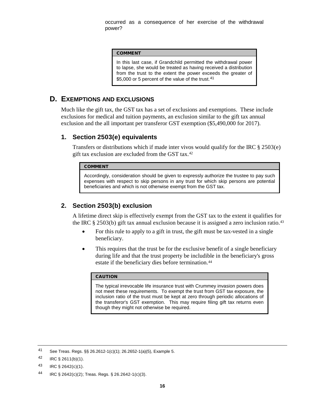occurred as a consequence of her exercise of the withdrawal power?

#### COMMENT

In this last case, if Grandchild permitted the withdrawal power to lapse, she would be treated as having received a distribution from the trust to the extent the power exceeds the greater of \$5,000 or 5 percent of the value of the trust.<sup>[41](#page-15-0)</sup>

## **D. EXEMPTIONS AND EXCLUSIONS**

Much like the gift tax, the GST tax has a set of exclusions and exemptions. These include exclusions for medical and tuition payments, an exclusion similar to the gift tax annual exclusion and the all important per transferor GST exemption (\$5,490,000 for 2017).

## **1. Section 2503(e) equivalents**

Transfers or distributions which if made inter vivos would qualify for the IRC  $\S 2503(e)$ gift tax exclusion are excluded from the GST tax.[42](#page-15-1)

#### COMMENT

Accordingly, consideration should be given to expressly authorize the trustee to pay such expenses with respect to skip persons in any trust for which skip persons are potential beneficiaries and which is not otherwise exempt from the GST tax.

## **2. Section 2503(b) exclusion**

A lifetime direct skip is effectively exempt from the GST tax to the extent it qualifies for the IRC § 2503(b) gift tax annual exclusion because it is assigned a zero inclusion ratio.<sup>43</sup>

- For this rule to apply to a gift in trust, the gift must be tax-vested in a single beneficiary.
- This requires that the trust be for the exclusive benefit of a single beneficiary during life and that the trust property be includible in the beneficiary's gross estate if the beneficiary dies before termination.<sup>[44](#page-15-3)</sup>

#### CAUTION

The typical irrevocable life insurance trust with Crummey invasion powers does not meet these requirements. To exempt the trust from GST tax exposure, the inclusion ratio of the trust must be kept at zero through periodic allocations of the transferor's GST exemption. This may require filing gift tax returns even though they might not otherwise be required.

<span id="page-15-0"></span><sup>41</sup> See Treas. Regs. §§ 26.2612-1(c)(1); 26.2652-1(a)(5), Example 5.

<span id="page-15-1"></span> $42$  IRC § 2611(b)(1).

<span id="page-15-2"></span><sup>43</sup> IRC § 2642(c)(1).

<span id="page-15-3"></span><sup>44</sup> IRC § 2642(c)(2); Treas. Regs. § 26.2642-1(c)(3).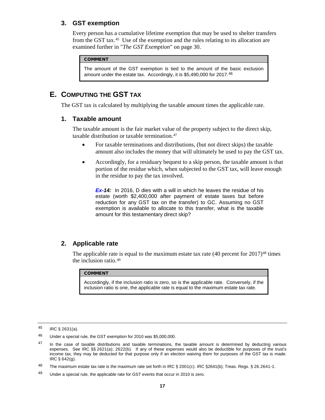## **3. GST exemption**

Every person has a cumulative lifetime exemption that may be used to shelter transfers from the GST tax.[45](#page-16-0) Use of the exemption and the rules relating to its allocation are examined further in "*The GST Exemption*" on page 30.

## **COMMENT**

The amount of the GST exemption is tied to the amount of the basic exclusion amount under the estate tax. Accordingly, it is \$5,490,000 for 2017.[46](#page-16-1)

# **E. COMPUTING THE GST TAX**

The GST tax is calculated by multiplying the taxable amount times the applicable rate.

## **1. Taxable amount**

The taxable amount is the fair market value of the property subject to the direct skip, taxable distribution or taxable termination.[47](#page-16-2) 

- For taxable terminations and distributions, (but not direct skips) the taxable amount also includes the money that will ultimately be used to pay the GST tax.
- Accordingly, for a residuary bequest to a skip person, the taxable amount is that portion of the residue which, when subjected to the GST tax, will leave enough in the residue to pay the tax involved.

**Ex-14:** In 2016, D dies with a will in which he leaves the residue of his estate (worth \$2,400,000 after payment of estate taxes but before reduction for any GST tax on the transfer) to GC. Assuming no GST exemption is available to allocate to this transfer, what is the taxable amount for this testamentary direct skip?

## **2. Applicable rate**

The applicable rate is equal to the maximum estate tax rate  $(40)$  percent for  $2017)^{48}$  $2017)^{48}$  $2017)^{48}$  times the inclusion ratio.[49](#page-16-4)

#### COMMENT

Accordingly, if the inclusion ratio is zero, so is the applicable rate. Conversely, if the inclusion ratio is one, the applicable rate is equal to the maximum estate tax rate.

<span id="page-16-0"></span><sup>45</sup> IRC § 2631(a).

<span id="page-16-1"></span><sup>46</sup> Under a special rule, the GST exemption for 2010 was \$5,000,000.

<span id="page-16-2"></span> $47$  In the case of taxable distributions and taxable terminations, the taxable amount is determined by deducting various expenses. See IRC §§ 2621(a); 2622(b). If any of these expenses would also be deductible for purposes of the trust's income tax, they may be deducted for that purpose only if an election waiving them for purposes of the GST tax is made. IRC § 642(g).

<span id="page-16-3"></span><sup>48</sup> The maximum estate tax rate is the maximum rate set forth in IRC  $\S$  2001(c). IRC  $\S$ 2641(b); Treas. Regs.  $\S$  26.2641-1.

<span id="page-16-4"></span><sup>49</sup> Under a special rule, the applicable rate for GST events that occur in 2010 is zero.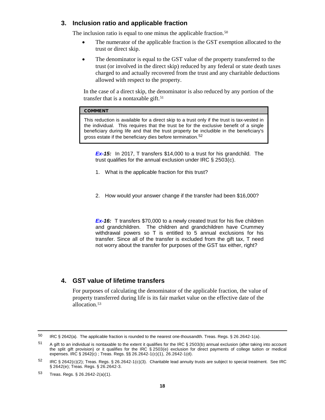## **3. Inclusion ratio and applicable fraction**

The inclusion ratio is equal to one minus the applicable fraction.<sup>50</sup>

- The numerator of the applicable fraction is the GST exemption allocated to the trust or direct skip.
- The denominator is equal to the GST value of the property transferred to the trust (or involved in the direct skip) reduced by any federal or state death taxes charged to and actually recovered from the trust and any charitable deductions allowed with respect to the property.

In the case of a direct skip, the denominator is also reduced by any portion of the transfer that is a nontaxable gift.<sup>51</sup>

## COMMENT

This reduction is available for a direct skip to a trust only if the trust is tax-vested in the individual. This requires that the trust be for the exclusive benefit of a single beneficiary during life and that the trust property be includible in the beneficiary's gross estate if the beneficiary dies before termination.<sup>[52](#page-17-2)</sup>

*Ex-15:* In 2017, T transfers \$14,000 to a trust for his grandchild. The trust qualifies for the annual exclusion under IRC § 2503(c).

- 1. What is the applicable fraction for this trust?
- 2. How would your answer change if the transfer had been \$16,000?

*Ex-16:* T transfers \$70,000 to a newly created trust for his five children and grandchildren. The children and grandchildren have Crummey withdrawal powers so T is entitled to 5 annual exclusions for his transfer. Since all of the transfer is excluded from the gift tax, T need not worry about the transfer for purposes of the GST tax either, right?

## **4. GST value of lifetime transfers**

For purposes of calculating the denominator of the applicable fraction, the value of property transferred during life is its fair market value on the effective date of the allocation.[53](#page-17-3) 

<span id="page-17-0"></span> $50$  IRC § 2642(a). The applicable fraction is rounded to the nearest one-thousandth. Treas. Regs. § 26.2642-1(a).

<span id="page-17-1"></span> $51$  A gift to an individual is nontaxable to the extent it qualifies for the IRC § 2503(b) annual exclusion (after taking into account the split gift provision) or it qualifies for the IRC § 2503(e) exclusion for direct payments of college tuition or medical expenses. IRC § 2642(c) ; Treas. Regs. §§ 26.2642-1(c)(1), 26.2642-1(d).

<span id="page-17-2"></span> $52$  IRC § 2642(c)(2); Treas. Regs. § 26.2642-1(c)(3). Charitable lead annuity trusts are subject to special treatment. See IRC § 2642(e); Treas. Regs. § 26.2642-3.

<span id="page-17-3"></span><sup>53</sup> Treas. Regs. § 26.2642-2(a)(1).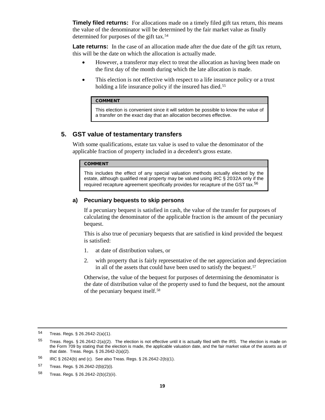**Timely filed returns:** For allocations made on a timely filed gift tax return, this means the value of the denominator will be determined by the fair market value as finally determined for purposes of the gift tax.[54](#page-18-0)

Late returns: In the case of an allocation made after the due date of the gift tax return, this will be the date on which the allocation is actually made.

- However, a transferor may elect to treat the allocation as having been made on the first day of the month during which the late allocation is made.
- This election is not effective with respect to a life insurance policy or a trust holding a life insurance policy if the insured has died.<sup>[55](#page-18-1)</sup>

#### COMMENT

This election is convenient since it will seldom be possible to know the value of a transfer on the exact day that an allocation becomes effective.

## **5. GST value of testamentary transfers**

With some qualifications, estate tax value is used to value the denominator of the applicable fraction of property included in a decedent's gross estate.

#### COMMENT

This includes the effect of any special valuation methods actually elected by the estate, although qualified real property may be valued using IRC § 2032A only if the required recapture agreement specifically provides for recapture of the GST tax.<sup>[56](#page-18-2)</sup>

## **a) Pecuniary bequests to skip persons**

If a pecuniary bequest is satisfied in cash, the value of the transfer for purposes of calculating the denominator of the applicable fraction is the amount of the pecuniary bequest.

This is also true of pecuniary bequests that are satisfied in kind provided the bequest is satisfied:

- 1. at date of distribution values, or
- 2. with property that is fairly representative of the net appreciation and depreciation in all of the assets that could have been used to satisfy the bequest.[57](#page-18-3)

Otherwise, the value of the bequest for purposes of determining the denominator is the date of distribution value of the property used to fund the bequest, not the amount of the pecuniary bequest itself.[58](#page-18-4)

<span id="page-18-0"></span><sup>54</sup> Treas. Regs. § 26.2642-2(a)(1).

<span id="page-18-1"></span> $55$  Treas. Regs. § 26.2642-2(a)(2). The election is not effective until it is actually filed with the IRS. The election is made on the Form 709 by stating that the election is made, the applicable valuation date, and the fair market value of the assets as of that date. Treas. Regs. § 26.2642-2(a)(2).

<span id="page-18-2"></span><sup>56</sup> IRC § 2624(b) and (c). See also Treas. Regs. § 26.2642-2(b)(1).

<span id="page-18-3"></span><sup>57</sup> Treas. Regs. § 26.2642-2(b)(2)(i).

<span id="page-18-4"></span><sup>58</sup> Treas. Regs. § 26.2642-2(b)(2)(ii).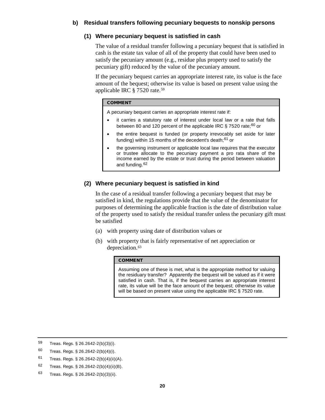## **b) Residual transfers following pecuniary bequests to nonskip persons**

## **(1) Where pecuniary bequest is satisfied in cash**

The value of a residual transfer following a pecuniary bequest that is satisfied in cash is the estate tax value of all of the property that could have been used to satisfy the pecuniary amount (e.g., residue plus property used to satisfy the pecuniary gift) reduced by the value of the pecuniary amount.

If the pecuniary bequest carries an appropriate interest rate, its value is the face amount of the bequest; otherwise its value is based on present value using the applicable IRC § 7520 rate.[59](#page-19-0)

#### COMMENT

A pecuniary bequest carries an appropriate interest rate if:

- it carries a statutory rate of interest under local law or a rate that falls between 80 and 120 percent of the applicable IRC  $\S$  7520 rate;<sup>[60](#page-19-1)</sup> or
- the entire bequest is funded (or property irrevocably set aside for later funding) within 15 months of the decedent's death; $61$  or
- the governing instrument or applicable local law requires that the executor or trustee allocate to the pecuniary payment a pro rata share of the income earned by the estate or trust during the period between valuation and funding.[62](#page-19-3)

## **(2) Where pecuniary bequest is satisfied in kind**

In the case of a residual transfer following a pecuniary bequest that may be satisfied in kind, the regulations provide that the value of the denominator for purposes of determining the applicable fraction is the date of distribution value of the property used to satisfy the residual transfer unless the pecuniary gift must be satisfied

- (a) with property using date of distribution values or
- (b) with property that is fairly representative of net appreciation or depreciation.<sup>63</sup>

#### COMMENT

Assuming one of these is met, what is the appropriate method for valuing the residuary transfer? Apparently the bequest will be valued as if it were satisfied in cash. That is, if the bequest carries an appropriate interest rate, its value will be the face amount of the bequest; otherwise its value will be based on present value using the applicable IRC § 7520 rate.

<span id="page-19-0"></span><sup>59</sup> Treas. Regs. § 26.2642-2(b)(3)(i).

- <span id="page-19-1"></span>60 Treas. Regs.  $\S$  26.2642-2(b)(4)(i).
- <span id="page-19-2"></span>61 Treas. Regs.  $$26.2642-2(b)(4)(ii)(A)$ .
- <span id="page-19-3"></span>62 Treas. Regs.  $\S 26.2642 - 2(b)(4)(ii)(B)$ .
- <span id="page-19-4"></span><sup>63</sup> Treas. Regs. § 26.2642-2(b)(3)(ii).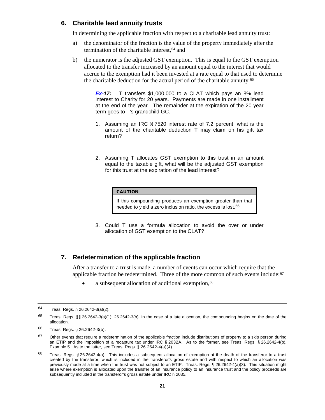## **6. Charitable lead annuity trusts**

In determining the applicable fraction with respect to a charitable lead annuity trust:

- a) the denominator of the fraction is the value of the property immediately after the termination of the charitable interest, <sup>[64](#page-20-0)</sup> and
- b) the numerator is the adjusted GST exemption. This is equal to the GST exemption allocated to the transfer increased by an amount equal to the interest that would accrue to the exemption had it been invested at a rate equal to that used to determine the charitable deduction for the actual period of the charitable annuity.[65](#page-20-1)

*Ex-17:* T transfers \$1,000,000 to a CLAT which pays an 8% lead interest to Charity for 20 years. Payments are made in one installment at the end of the year. The remainder at the expiration of the 20 year term goes to T's grandchild GC.

- 1. Assuming an IRC § 7520 interest rate of 7.2 percent, what is the amount of the charitable deduction T may claim on his gift tax return?
- 2. Assuming T allocates GST exemption to this trust in an amount equal to the taxable gift, what will be the adjusted GST exemption for this trust at the expiration of the lead interest?

#### CAUTION

If this compounding produces an exemption greater than that needed to yield a zero inclusion ratio, the excess is lost.<sup>[66](#page-20-2)</sup>

3. Could T use a formula allocation to avoid the over or under allocation of GST exemption to the CLAT?

## **7. Redetermination of the applicable fraction**

After a transfer to a trust is made, a number of events can occur which require that the applicable fraction be redetermined. Three of the more common of such events include: $67$ 

a subsequent allocation of additional exemption,<sup>[68](#page-20-4)</sup>

<span id="page-20-0"></span><sup>64</sup> Treas. Regs. § 26.2642-3(a)(2).

<span id="page-20-1"></span> $65$  Treas. Regs. §§ 26.2642-3(a)(1); 26.2642-3(b). In the case of a late allocation, the compounding begins on the date of the allocation.

<span id="page-20-2"></span><sup>66</sup> Treas. Regs. § 26.2642-3(b).

<span id="page-20-3"></span> $67$  Other events that require a redetermination of the applicable fraction include distributions of property to a skip person during an ETIP and the imposition of a recapture tax under IRC § 2032A. As to the former, see Treas. Regs. § 26.2642-4(b), Example 5. As to the latter, see Treas. Regs. § 26.2642-4(a)(4).

<span id="page-20-4"></span> $68$  Treas. Regs. § 26.2642-4(a). This includes a subsequent allocation of exemption at the death of the transferor to a trust created by the transferor, which is included in the transferor's gross estate and with respect to which an allocation was previously made at a time when the trust was not subject to an ETIP. Treas. Regs. § 26.2642-4(a)(3). This situation might arise where exemption is allocated upon the transfer of an insurance policy to an insurance trust and the policy proceeds are subsequently included in the transferor's gross estate under IRC § 2035.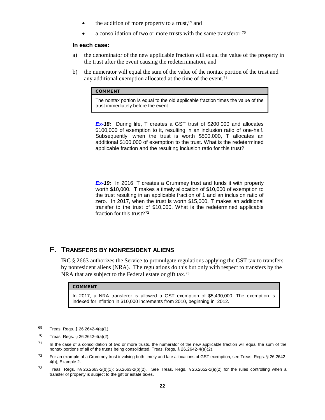- $\bullet$  the addition of more property to a trust,  $69$  and
- a consolidation of two or more trusts with the same transferor.<sup>[70](#page-21-1)</sup>

#### **In each case:**

- a) the denominator of the new applicable fraction will equal the value of the property in the trust after the event causing the redetermination, and
- b) the numerator will equal the sum of the value of the nontax portion of the trust and any additional exemption allocated at the time of the event.<sup>[71](#page-21-2)</sup>

#### COMMENT

The nontax portion is equal to the old applicable fraction times the value of the trust immediately before the event.

*Ex-18:* During life, T creates a GST trust of \$200,000 and allocates \$100,000 of exemption to it, resulting in an inclusion ratio of one-half. Subsequently, when the trust is worth \$500,000, T allocates an additional \$100,000 of exemption to the trust. What is the redetermined applicable fraction and the resulting inclusion ratio for this trust?

**Ex-19:** In 2016, T creates a Crummey trust and funds it with property worth \$10,000. T makes a timely allocation of \$10,000 of exemption to the trust resulting in an applicable fraction of 1 and an inclusion ratio of zero. In 2017, when the trust is worth \$15,000, T makes an additional transfer to the trust o[f](#page--1-4) \$10,000. What is the redetermined applicable fraction for this trust?<sup>[72](#page-21-3)</sup>

## **F. TRANSFERS BY NONRESIDENT ALIENS**

IRC § 2663 authorizes the Service to promulgate regulations applying the GST tax to transfers by nonresident aliens (NRA). The regulations do this but only with respect to transfers by the NRA that are subject to the Federal estate or gift tax.<sup>[73](#page-21-4)</sup>

#### **COMMENT**

In 2017, a NRA transferor is allowed a GST exemption of \$5,490,000. The exemption is indexed for inflation in \$10,000 increments from 2010, beginning in 2012.

<span id="page-21-0"></span><sup>69</sup> Treas. Regs. § 26.2642-4(a)(1).

<span id="page-21-1"></span><sup>70</sup> Treas. Regs. § 26.2642-4(a)(2).

<span id="page-21-2"></span> $71$  In the case of a consolidation of two or more trusts, the numerator of the new applicable fraction will equal the sum of the nontax portions of all of the trusts being consolidated. Treas. Regs. § 26.2642-4(a)(2).

<span id="page-21-3"></span> $72$  For an example of a Crummey trust involving both timely and late allocations of GST exemption, see Treas. Regs. § 26.2642-4(b), Example 2.

<span id="page-21-4"></span><sup>73</sup> Treas. Regs. §§ 26.2663-2(b)(1); 26.2663-2(b)(2). See Treas. Regs. § 26.2652-1(a)(2) for the rules controlling when a transfer of property is subject to the gift or estate taxes.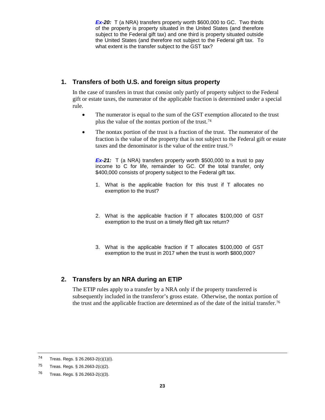*Ex-20:* T (a NRA) transfers property worth \$600,000 to GC. Two thirds of the property is property situated in the United States (and therefore subject to the Federal gift tax) and one third is property situated outside the United States (and therefore not subject to th[e](#page--1-5) Federal gift tax. To what extent is the transfer subject to the GST tax?

## **1. Transfers of both U.S. and foreign situs property**

In the case of transfers in trust that consist only partly of property subject to the Federal gift or estate taxes, the numerator of the applicable fraction is determined under a special rule.

- The numerator is equal to the sum of the GST exemption allocated to the trust plus the value of the nontax portion of the trust.[74](#page-22-0)
- The nontax portion of the trust is a fraction of the trust. The numerator of the fraction is the value of the property that is not subject to the Federal gift or estate taxes and the denominator is the value of the entire trust.[75](#page-22-1)

**Ex-21:** T (a NRA) transfers property worth \$500,000 to a trust to pay income to C for life, remainder to GC. Of the total transfer, only \$400,000 consists of property subject to the Federal gift tax.

- 1. What is the applicable fraction for this trust if T allocates no exemption to the trust?
- 2. What is the applicable fraction if T allocates \$100,000 of GST exemption to the trust on a timely filed gift tax return?
- 3. What is the applicable fraction if T allocates \$100,000 of GST exemption to the trust in 2017 when the trust is worth \$800,000?

## **2. Transfers by an NRA during an ETIP**

The ETIP rules apply to a transfer by a NRA only if the property transferred is subsequently included in the transferor's gross estate. Otherwise, the nontax portion of the trust and the applicable fraction are determined as of the date of the initial transfer.[76](#page-22-2)

<span id="page-22-0"></span><sup>74</sup> Treas. Regs. § 26.2663-2(c)(1)(i).

<span id="page-22-1"></span><sup>75</sup> Treas. Regs.  $\S$  26.2663-2(c)(2).

<span id="page-22-2"></span><sup>76</sup> Treas. Regs. § 26.2663-2(c)(3).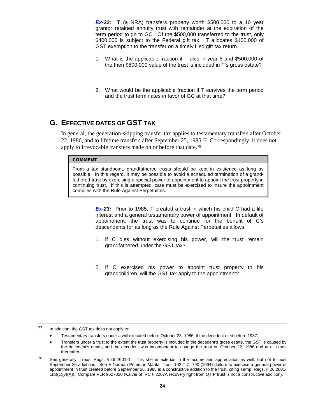*Ex-22:* T (a NRA) transfers property worth \$500,000 to a 10 year grantor retained annuity trust with remainder at the expiration of the term period to go to GC. Of the \$500,000 transferred to the trust, only \$400,000 is subject to the Federal gift tax. T allocates \$100,000 of GST exemption to the transfer on a timely filed gift tax return.

- 1. What is the applicable fraction if T dies in year 6 and \$500,000 of the then \$800,000 value of the trust is included in T's gross estate?
- 2. What would be the applicable fraction if T survive[s](#page--1-6) the term period and the trust terminates in favor of GC at that time?

## **G. EFFECTIVE DATES OF GST TAX**

In general, the generation-skipping transfer tax applies to testamentary transfers after October 22, 1986, and to lifetime transfers after September 25, 1985.[77](#page-23-0) Correspondingly, it does not apply to irrevocable transfers made on or before that date.[78](#page-23-1)

#### COMMENT

From a tax standpoint, grandfathered trusts should be kept in existence as long as possible. In this regard, it may be possible to avoid a scheduled termination of a grandfathered trust by exercising a special power of appointment to appoint the trust property in continuing trust. If this is attempted, care must be exercised to insure the appointment complies with the Rule Against Perpetuities.

> *Ex-23:* Prior to 1985, T created a trust in which his child C had a life interest and a general testamentary power of appointment. In default of appointment, the trust was to continue for the benefit of C's descendants for as long as the Rule Against Perpetuities allows.

- 1. If C dies without exercising his power, will the trust remain grandfathered under the GST tax?
- 2. If C exercised his power to appoint trust prope[rt](#page--1-7)y to his grandchildren, will the GST tax apply to the appointment?

<span id="page-23-0"></span> $77$  In addition, the GST tax does not apply to:

- Testamentary transfers under a will executed before October 23, 1986, if the decedent died before 1987.
- Transfers under a trust to the extent the trust property is included in the decedent's gross estate, the GST is caused by the decedent's death, and the decedent was incompetent to change the trust on October 22, 1986 and at all times thereafter.

<span id="page-23-1"></span> $78$  See generally, Treas. Regs. § 26.2601-1. This shelter extends to the income and appreciation as well, but not to post September 25 additions. See E Norman Peterson Marital Trust, 102 T.C. 790 (1994) (failure to exercise a general power of appointment in trust created before September 26, 1985 is a constructive addition to the trust, citing Temp. Regs. § 26.2601- 1(b)(1)(v)(A)). Compare PLR 9627020 (waiver of IRC § 2207A recovery right from QTIP trust is not a constructive addition).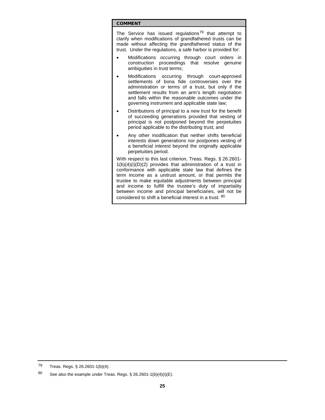The Service has issued regulations<sup>[79](#page-24-0)</sup> that attempt to clarify when modifications of grandfathered trusts can be made without affecting the grandfathered status of the trust. Under the regulations, a safe harbor is provided for:

- Modifications occurring through court orders in construction proceedings that resolve genuine ambiguities in trust terms;
- Modifications occurring through court-approved settlements of bona fide controversies over the administration or terms of a trust, but only if the settlement results from an arm's length negotiation and falls within the reasonable outcomes under the governing instrument and applicable state law;
- Distributions of principal to a new trust for the benefit of succeeding generations provided that vesting of principal is not postponed beyond the perpetuities period applicable to the distributing trust; and
- Any other modification that neither shifts beneficial interests down generations nor postpones vesting of a beneficial interest beyond the originally applicable perpetuities period.

With respect to this last criterion, Treas. Regs. § 26.2601-  $1(b)(4)(i)(D)(2)$  provides that administration of a trust in conformance with applicable state law that defines the term income as a unitrust amount, or that permits the trustee to make equitable adjustments between principal and income to fulfill the trustee's duty of impartiality between income and principal beneficiaries, will not be considered to shift a beneficial interest in a trust. [80](#page-24-1)

<span id="page-24-0"></span><sup>79</sup> Treas. Regs. § 26.2601-1(b)(4).

<span id="page-24-1"></span><sup>80</sup> See also the example under Treas. Regs.  $\S$  26.2601-1(b)(4)(i)(E).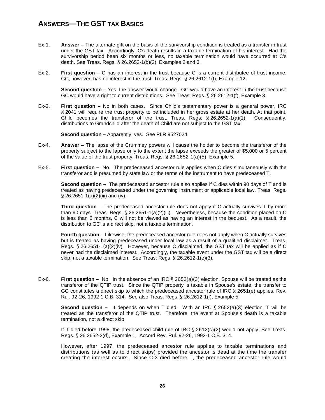# **ANSWERS—THE GST TAX BASICS**

- Ex-1. **Answer –** The alternate gift on the basis of the survivorship condition is treated as a transfer in trust under the GST tax. Accordingly, C's death results in a taxable termination of his interest. Had the survivorship period been six months or less, no taxable termination would have occurred at C's death. See Treas. Regs. § 26.2652-1(b)(2), Examples 2 and 3.
- Ex-2. **First question –** C has an interest in the trust because C is a current distributee of trust income. GC, however, has no interest in the trust. Treas. Regs. § 26.2612-1(f), Example 12.

**Second question –** Yes, the answer would change. GC would have an interest in the trust because GC would have a right to current distributions. See Treas. Regs. § 26.2612-1(f), Example 3.

Ex-3. **First question –** No in both cases. Since Child's testamentary power is a general power, IRC § 2041 will require the trust property to be included in her gross estate at her death. At that point, Child becomes the transferor of the trust. Treas. Regs.  $\S 26.2652-1(a)(1)$ . Consequently, distributions to Grandchild after the death of Child are not subject to the GST tax.

**Second question –** Apparently, yes. See PLR 9527024.

- Ex-4. **Answer –** The lapse of the Crummey powers will cause the holder to become the transferor of the property subject to the lapse only to the extent the lapse exceeds the greater of \$5,000 or 5 percent of the value of the trust property. Treas. Regs. § 26.2652-1(a)(5), Example 5.
- Ex-5. **First question –** No. The predeceased ancestor rule applies when C dies simultaneously with the transferor and is presumed by state law or the terms of the instrument to have predeceased T.

**Second question –** The predeceased ancestor rule also applies if C dies within 90 days of T and is treated as having predeceased under the governing instrument or applicable local law. Treas. Regs. § 26.2651-1(a)(2)(iii) and (iv).

**Third question –** The predeceased ancestor rule does not apply if C actually survives T by more than 90 days. Treas. Regs. § 26.2651-1(a)(2)(iii). Nevertheless, because the condition placed on C is less than 6 months, C will not be viewed as having an interest in the bequest. As a result, the distribution to GC is a direct skip, not a taxable termination.

**Fourth question –** Likewise, the predeceased ancestor rule does not apply when C actually survives but is treated as having predeceased under local law as a result of a qualified disclaimer. Treas. Regs. § 26.2651-1(a)(2)(iv). However, because C disclaimed, the GST tax will be applied as if C never had the disclaimed interest. Accordingly, the taxable event under the GST tax will be a direct skip; not a taxable termination. See Treas. Regs. § 26.2612-1(e)(3).

Ex-6. **First question –** No. In the absence of an IRC § 2652(a)(3) election, Spouse will be treated as the transferor of the QTIP trust. Since the QTIP property is taxable in Spouse's estate, the transfer to GC constitutes a direct skip to which the predeceased ancestor rule of IRC § 2651(e) applies. Rev. Rul. 92-26, 1992-1 C.B. 314. See also Treas. Regs. § 26.2612-1(f), Example 5.

**Second question –** It depends on when T died. With an IRC § 2652(a)(3) election, T will be treated as the transferor of the QTIP trust. Therefore, the event at Spouse's death is a taxable termination, not a direct skip.

If T died before 1998, the predeceased child rule of IRC § 2612(c)(2) would not apply. See Treas. Regs. § 26.2652-2(d), Example 1. Accord Rev. Rul. 92-26, 1992-1 C.B. 314.

However, after 1997, the predeceased ancestor rule applies to taxable terminations and distributions (as well as to direct skips) provided the ancestor is dead at the time the transfer creating the interest occurs. Since C-3 died before T, the predeceased ancestor rule would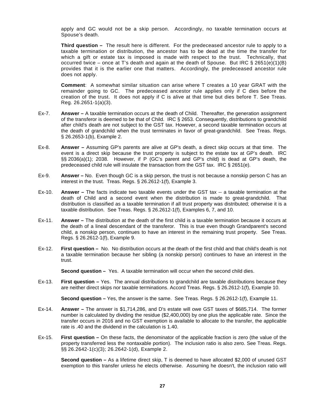apply and GC would not be a skip person. Accordingly, no taxable termination occurs at Spouse's death.

**Third question –** The result here is different. For the predeceased ancestor rule to apply to a taxable termination or distribution, the ancestor has to be dead at the time the transfer for which a gift or estate tax is imposed is made with respect to the trust. Technically, that occurred twice – once at T's death and again at the death of Spouse. But IRC  $\S$  2651(e)(1)(B) provides that it is the earlier one that matters. Accordingly, the predeceased ancestor rule does not apply.

**Comment**: A somewhat similar situation can arise where T creates a 10 year GRAT with the remainder going to GC. The predeceased ancestor rule applies only if C dies before the creation of the trust. It does not apply if C is alive at that time but dies before T. See Treas. Reg. 26.2651-1(a)(3).

- Ex-7. **Answer –** A taxable termination occurs at the death of Child. Thereafter, the generation assignment of the transferor is deemed to be that of Child. IRC § 2653. Consequently, distributions to grandchild after child's death are not subject to the GST tax. However, a second taxable termination occurs at the death of grandchild when the trust terminates in favor of great-grandchild. See Treas. Regs. § 26.2653-1(b), Example 2.
- Ex-8. **Answer –** Assuming GP's parents are alive at GP's death, a direct skip occurs at that time. The event is a direct skip because the trust property is subject to the estate tax at GP's death. IRC §§ 2036(a)(1); 2038. However, if P (GC's parent and GP's child) is dead at GP's death, the predeceased child rule will insulate the transaction from the GST tax. IRC § 2651(e).
- Ex-9. **Answer –** No. Even though GC is a skip person, the trust is not because a nonskip person C has an interest in the trust. Treas. Regs. § 26.2612-1(f), Example 3.
- Ex-10. **Answer –** The facts indicate two taxable events under the GST tax -- a taxable termination at the death of Child and a second event when the distribution is made to great-grandchild. That distribution is classified as a taxable termination if all trust property was distributed; otherwise it is a taxable distribution. See Treas. Regs. § 26.2612-1(f), Examples 6, 7, and 10.
- Ex-11. **Answer –** The distribution at the death of the first child is a taxable termination because it occurs at the death of a lineal descendant of the transferor. This is true even though Grandparent's second child, a nonskip person, continues to have an interest in the remaining trust property. See Treas. Regs. § 26.2612-1(f), Example 9.
- Ex-12. **First question –** No. No distribution occurs at the death of the first child and that child's death is not a taxable termination because her sibling (a nonskip person) continues to have an interest in the trust.

**Second question –** Yes. A taxable termination will occur when the second child dies.

Ex-13. **First question –** Yes. The annual distributions to grandchild are taxable distributions because they are neither direct skips nor taxable terminations. Accord Treas. Regs. § 26.2612-1(f), Example 10.

**Second question –** Yes, the answer is the same. See Treas. Regs. § 26.2612-1(f), Example 11.

- Ex-14. **Answer –** The answer is \$1,714,286, and D's estate will owe GST taxes of \$685,714. The former number is calculated by dividing the residue (\$2,400,000) by one plus the applicable rate. Since the transfer occurs in 2016 and no GST exemption is available to allocate to the transfer, the applicable rate is .40 and the dividend in the calculation is 1.40.
- Ex-15. **First question –** On these facts, the denominator of the applicable fraction is zero (the value of the property transferred less the nontaxable portion). The inclusion ratio is also zero. See Treas. Regs. §§ 26.2642-1(c)(3); 26.2642-1(d), Example 2.

**Second question –** As a lifetime direct skip, T is deemed to have allocated \$2,000 of unused GST exemption to this transfer unless he elects otherwise. Assuming he doesn't, the inclusion ratio will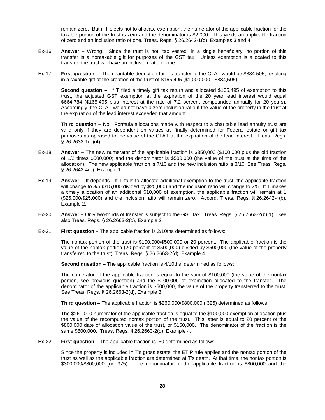remain zero. But if T elects not to allocate exemption, the numerator of the applicable fraction for the taxable portion of the trust is zero and the denominator is \$2,000. This yields an applicable fraction of zero and an inclusion ratio of one. Treas. Regs. § 26.2642-1(d), Examples 3 and 4.

- Ex-16. **Answer –** Wrong! Since the trust is not "tax vested" in a single beneficiary, no portion of this transfer is a nontaxable gift for purposes of the GST tax. Unless exemption is allocated to this transfer, the trust will have an inclusion ratio of one.
- Ex-17. **First question –** The charitable deduction for T's transfer to the CLAT would be \$834.505, resulting in a taxable gift at the creation of the trust of \$165,495 (\$1,000,000 - \$834,505).

**Second question –** If T filed a timely gift tax return and allocated \$165,495 of exemption to this trust, the adjusted GST exemption at the expiration of the 20 year lead interest would equal \$664,784 (\$165,495 plus interest at the rate of 7.2 percent compounded annually for 20 years). Accordingly, the CLAT would not have a zero inclusion ratio if the value of the property in the trust at the expiration of the lead interest exceeded that amount.

**Third question –** No. Formula allocations made with respect to a charitable lead annuity trust are valid only if they are dependent on values as finally determined for Federal estate or gift tax purposes as opposed to the value of the CLAT at the expiration of the lead interest. Treas. Regs. § 26.2632-1(b)(4).

- Ex-18. **Answer –** The new numerator of the applicable fraction is \$350,000 (\$100,000 plus the old fraction of 1/2 times \$500,000) and the denominator is \$500,000 (the value of the trust at the time of the allocation). The new applicable fraction is 7/10 and the new inclusion ratio is 3/10. See Treas. Regs. § 26.2642-4(b), Example 1.
- Ex-19. **Answer –** It depends. If T fails to allocate additional exemption to the trust, the applicable fraction will change to 3/5 (\$15,000 divided by \$25,000) and the inclusion ratio will change to 2/5. If T makes a timely allocation of an additional \$10,000 of exemption, the applicable fraction will remain at 1 (\$25,000/\$25,000) and the inclusion ratio will remain zero. Accord, Treas. Regs. § 26.2642-4(b), Example 2.
- Ex-20. **Answer –** Only two-thirds of transfer is subject to the GST tax. Treas. Regs. § 26.2663-2(b)(1). See also Treas. Regs. § 26.2663-2(d), Example 2.
- Ex-21. **First question –** The applicable fraction is 2/10ths determined as follows:

The nontax portion of the trust is \$100,000/\$500,000 or 20 percent. The applicable fraction is the value of the nontax portion (20 percent of \$500,000) divided by \$500,000 (the value of the property transferred to the trust). Treas. Regs. § 26.2663-2(d), Example 4.

**Second question –** The applicable fraction is 4/10ths determined as follows:

The numerator of the applicable fraction is equal to the sum of \$100,000 (the value of the nontax portion, see previous question) and the \$100,000 of exemption allocated to the transfer. The denominator of the applicable fraction is \$500,000, the value of the property transferred to the trust. See Treas. Regs. § 26.2663-2(d), Example 3.

**Third question** – The applicable fraction is \$260,000/\$800,000 (.325) determined as follows:

The \$260,000 numerator of the applicable fraction is equal to the \$100,000 exemption allocation plus the value of the recomputed nontax portion of the trust. This latter is equal to 20 percent of the \$800,000 date of allocation value of the trust, or \$160,000. The denominator of the fraction is the same \$800,000. Treas. Regs. § 26.2663-2(d), Example 4.

Ex-22. **First question** – The applicable fraction is .50 determined as follows:

Since the property is included in T's gross estate, the ETIP rule applies and the nontax portion of the trust as well as the applicable fraction are determined at T's death. At that time, the nontax portion is \$300,000/\$800,000 (or .375). The denominator of the applicable fraction is \$800,000 and the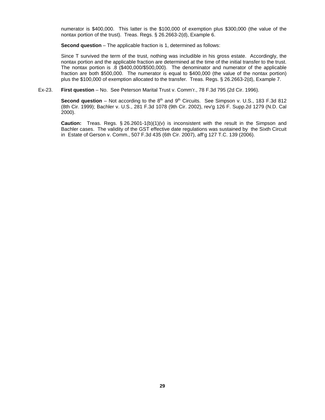numerator is \$400,000. This latter is the \$100,000 of exemption plus \$300,000 (the value of the nontax portion of the trust). Treas. Regs. § 26.2663-2(d), Example 6.

**Second question** – The applicable fraction is 1, determined as follows:

Since T survived the term of the trust, nothing was includible in his gross estate. Accordingly, the nontax portion and the applicable fraction are determined at the time of the initial transfer to the trust. The nontax portion is .8 (\$400,000/\$500,000). The denominator and numerator of the applicable fraction are both \$500,000. The numerator is equal to \$400,000 (the value of the nontax portion) plus the \$100,000 of exemption allocated to the transfer. Treas. Regs. § 26.2663-2(d), Example 7.

#### Ex-23. **First question** – No. See Peterson Marital Trust v. Comm'r., 78 F.3d 795 (2d Cir. 1996).

**Second question** – Not according to the 8<sup>th</sup> and 9<sup>th</sup> Circuits. See Simpson v. U.S., 183 F.3d 812 (8th Cir. 1999); Bachler v. U.S., 281 F.3d 1078 (9th Cir. 2002), rev'g 126 F. Supp.2d 1279 (N.D. Cal 2000).

**Caution:** Treas. Regs. § 26.2601-1(b)(1)(v) is inconsistent with the result in the Simpson and Bachler cases. The validity of the GST effective date regulations was sustained by the Sixth Circuit in Estate of Gerson v. Comm., 507 F.3d 435 (6th Cir. 2007), aff'g 127 T.C. 139 (2006).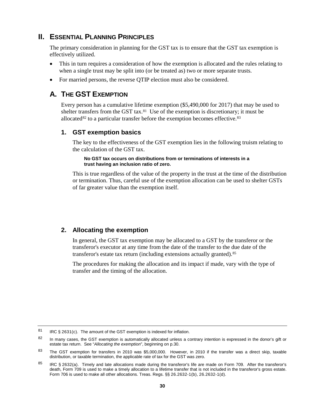## <span id="page-29-4"></span><span id="page-29-0"></span>**II. ESSENTIAL PLANNING PRINCIPLES**

The primary consideration in planning for the GST tax is to ensure that the GST tax exemption is effectively utilized.

- This in turn requires a consideration of how the exemption is allocated and the rules relating to when a single trust may be split into (or be treated as) two or more separate trusts.
- For married persons, the reverse OTIP election must also be considered.

# **A. THE GST EXEMPTION**

Every person has a cumulative lifetime exemption (\$5,490,000 for 2017) that may be used to shelter transfers from the GST tax. $81$  Use of the exemption is discretionary; it must be allocated $82$  to a particular transfer before the exemption becomes effective.  $83$ 

## **1. GST exemption basics**

The key to the effectiveness of the GST exemption lies in the following truism relating to the calculation of the GST tax.

#### **No GST tax occurs on distributions from or terminations of interests in a trust having an inclusion ratio of zero.**

This is true regardless of the value of the property in the trust at the time of the distribution or termination. Thus, careful use of the exemption allocation can be used to shelter GSTs of far greater value than the exemption itself.

## **[2.](#page-29-4) Allocating the exemption**

In general, the GST tax exemption may be allocated to a GST by the transferor or the transferor's executor at any time from the date of the transfer to the due date of the transferor's estate tax return (including extensions actually granted).[85](#page--1-8)

The procedures for making the allocation and its impact if made, vary with the type of transfer and the timing of the allocation.

<span id="page-29-1"></span><sup>81</sup> IRC § 2631(c). The amount of the GST exemption is indexed for inflation.

<span id="page-29-2"></span><sup>82</sup> In many cases, the GST exemption is automatically allocated unless a contrary intention is expressed in the donor's gift or estate tax return. See "*Allocating the exemption*", beginning on p.30.

<span id="page-29-3"></span><sup>83</sup> The GST exemption for transfers in 2010 was \$5,000,000. However, in 2010 if the transfer was a direct skip, taxable distribution, or taxable termination, the applicable rate of tax for the GST was zero.

<sup>85</sup> IRC § 2632(a). Timely and late allocations made during the transferor's life are made on Form 709. After the transferor's death, Form 709 is used to make a timely allocation to a lifetime transfer that is not included in the transferor's gross estate. Form 706 is used to make all other allocations. Treas. Regs. §§ 26.2632-1(b), 26.2632-1(d).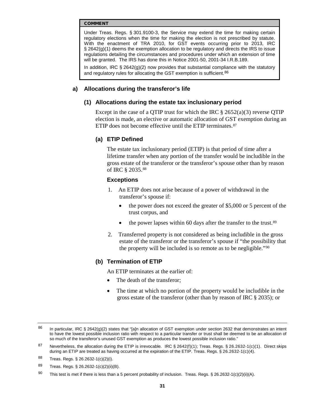Under Treas. Regs. § 301.9100-3, the Service may extend the time for making certain regulatory elections when the time for making the election is not prescribed by statute. With the enactment of TRA 2010, for GST events occurring prior to 2013, IRC § 2642(g)(1) deems the exemption allocation to be regulatory and directs the IRS to issue regulations detailing the circumstances and procedures under which an extension of time will be granted. The IRS has done this in Notice 2001-50, 2001-34 I.R.B.189.

In addition, IRC  $\S 2642(g)(2)$  now provides that substantial compliance with the statutory and regulatory rules for allocating the GST exemption is sufficient.<sup>86</sup>

#### <span id="page-30-4"></span>**a) Allocations during the transferor's life**

## **(1) Allocations during the estate tax inclusionary period**

Except in the case of a QTIP trust for which the IRC  $\S 2652(a)(3)$  reverse QTIP election is made, an elective or automatic allocation of GST exemption during an ETIP does not become effective until the ETIP terminates.<sup>[87](#page-30-0)</sup>

## **(a) ETIP Defined**

The estate tax inclusionary period (ETIP) is that period of time after a lifetime transfer when any portion of the transfer would be includible in the gross estate of the transferor or the transferor's spouse other than by reason of IRC § 2035.[88](#page-30-1)

#### **Exceptions**

- 1. An ETIP does not arise because of a power of withdrawal in the transferor's spouse if:
	- the power does not exceed the greater of \$5,000 or 5 percent of the trust corpus, and
	- the power lapses within 60 days after the transfer to the trust.  $89$
- 2. Transferred property is not considered as being includible in the gross estate of the transferor or the transferor's spouse if "the possibility that the property will be included is so remote as to be negligible."[90](#page-30-3)

#### **(b) Termination of ETIP**

An ETIP terminates at the earlier of:

- The death of the transferor;
- The time at which no portion of the property would be includible in the gross estate of the transferor (other than by reason of IRC § 2035); or

<span id="page-30-1"></span>88 Treas. Regs. § 26.2632-1(c)(2)(i).

<span id="page-30-2"></span>89 Treas. Regs. § 26.2632-1(c)(2)(ii)(B).

<sup>&</sup>lt;sup>86</sup> In particular, IRC § 2642(g)(2) states that "[a]n allocation of GST exemption under section 2632 that demonstrates an intent to have the lowest possible inclusion ratio with respect to a particular transfer or trust shall be deemed to be an allocation of so much of the transferor's unused GST exemption as produces the lowest possible inclusion ratio."

<span id="page-30-0"></span><sup>87</sup> Nevertheless, the allocation during the ETIP is irrevocable. IRC § 2642(f)(1); Treas. Regs. § 26.2632-1(c)(1). Direct skips during an ETIP are treated as having occurred at the expiration of the ETIP. Treas. Regs. § 26.2632-1(c)(4).

<span id="page-30-3"></span><sup>90</sup> This test is met if there is less than a 5 percent probability of inclusion. Treas. Regs. § 26.2632-1(c)(2)(ii)(A).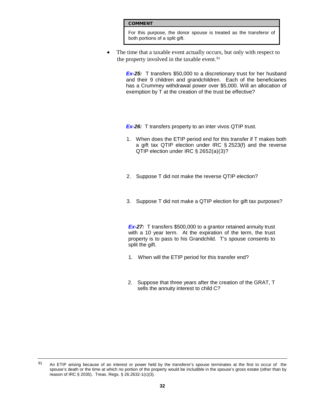For this purpose, the donor spouse is treated as the transferor of both portions of a split gift.

The time that a taxable event actually occurs, but only with respect to the property involved in the taxable event.<sup>[91](#page--1-8)</sup>

> **Ex-25:** T transfers \$50,000 to a discretionary trust for her husband and their 9 children and grandchildren. Each of the beneficiaries has a Crummey withdrawal power over \$5,000. Will an allocation of exemption by T at the creation of the trust be effective?

**Ex-26:** T transfers property to an inter vivos QTIP trust.

- 1. When does the ETIP period end for this transfer if T makes both a gift tax QTIP election under IRC § 2523(f) and the reverse QTIP election under IRC § 2652(a)(3)?
- 2. Suppose T did not make the reverse QTIP election?
- 3. Suppose T did not make a QTIP election for gift tax purposes?

*Ex-27:* T transfers \$500,000 to a grantor retained annuity trust with a 10 year term. At the expiration of the term, the trust property is to pass to his Grandchild. T's spouse consents to split the gift.

- 1. When will the ETIP period for this transfer end?
- 2. Suppose that three years after the [cr](#page--1-10)eation of the GRAT, T sells the annuity interest to child C?

<sup>91</sup> An ETIP arising because of an interest or power held by the transferor's spouse terminates at the first to occur of the spouse's death or the time at which no portion of the property would be includible in the spouse's gross estate (other than by reason of IRC § 2035). Treas. Regs. § 26.2632-1(c)(3).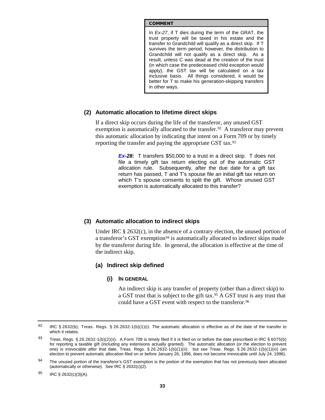In *Ex-27*, if T dies during the term of the GRAT, the trust property will be taxed in his estate and the transfer to Grandchild will qualify as a direct skip. If T survives the term period, however, the distribution to Grandchild will not qualify as a direct skip. As a result, unless C was dead at the creation of the trust (in which case the predeceased child exception would apply), the GST tax will be calculated on a tax inclusive basis. All things considered, it would be better for T to make his generation-skipping transfers in other ways.

## **(2) Automatic allocation to lifetime direct skips**

If a direct skip occurs during the life of the transferor, any unused GST exemption is automatically allocated to the transfer.<sup>[92](#page--1-11)</sup> A transferor may prevent this automatic allocation by indicating that intent on a Form 709 or by timely reporting the transfer and paying the appropriate GST tax.[93](#page-32-0) 

> *Ex-28:* T transfers \$50,000 to a trust in a direct skip. T does not file a timely gift tax return electing out of the automatic GST allocation rule. Subsequently, after the due date for a gift tax return has passed, T and T's spouse file an initial gift tax return on which T's spouse consents to split the gift. Whos[e](#page--1-12) unused GST exemption is automatically allocated to this transfer?

## **(3) Automatic allocation to indirect skips**

Under IRC  $\S 2632(c)$ , in the absence of a contrary election, the unused portion of a transferor's GST exemption<sup>[94](#page-32-1)</sup> is automatically allocated to indirect skips made by the transferor during life. In general, the allocation is effective at the time of the indirect skip.

## **(a) Indirect skip defined**

#### **(i) IN GENERAL**

An indirect skip is any transfer of property (other than a direct skip) to a GST trust that is subject to the gift tax.[95](#page-32-2) A GST trust is any trust that could have a GST event with respect to the transferor.<sup>[96](#page--1-13)</sup>

<sup>92</sup> IRC § 2632(b); Treas. Regs. § 26.2632-1(b)(1)(i). The automatic allocation is effective as of the date of the transfer to which it relates.

<span id="page-32-0"></span><sup>93</sup> Treas. Regs. § 26.2632-1(b)(2)(ii). A Form 709 is timely filed if it is filed on or before the date prescribed in IRC § 6075(b) for reporting a taxable gift (including any extensions actually granted). The automatic allocation (or the election to prevent one) is irrevocable after that date. Treas. Regs. § 26.2632-1(b)(1)(ii); but see Treas. Regs. § 26.2632-1(b)(1)(iii) (an election to prevent automatic allocation filed on or before January 26, 1996, does not become irrevocable until July 24, 1996).

<span id="page-32-1"></span><sup>94</sup> The unused portion of the transferor's GST exemption is the portion of the exemption that has not previously been allocated (automatically or otherwise). See IRC § 2632(c)(2).

<span id="page-32-2"></span><sup>95</sup> IRC  $\S$  2632(c)(3)(A).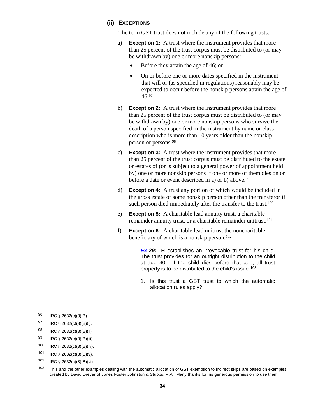#### **(ii) EXCEPTIONS**

The term GST trust does not include any of the following trusts:

- a) **Exception 1:** A trust where the instrument provides that more than 25 percent of the trust corpus must be distributed to (or may be withdrawn by) one or more nonskip persons:
	- Before they attain the age of 46; or
	- On or before one or more dates specified in the instrument that will or (as specified in regulations) reasonably may be expected to occur before the nonskip persons attain the age of  $46.97$  $46.97$
- b) **Exception 2:** A trust where the instrument provides that more than 25 percent of the trust corpus must be distributed to (or may be withdrawn by) one or more nonskip persons who survive the death of a person specified in the instrument by name or class description who is more than 10 years older than the nonskip person or persons.[98](#page-33-0)
- c) **Exception 3:** A trust where the instrument provides that more than 25 percent of the trust corpus must be distributed to the estate or estates of (or is subject to a general power of appointment held by) one or more nonskip persons if one or more of them dies on or before a date or event described in a) or b) above.<sup>[99](#page-33-1)</sup>
- d) **Exception 4:** A trust any portion of which would be included in the gross estate of some nonskip person other than the transferor if such person died immediately after the transfer to the trust.<sup>[100](#page-33-2)</sup>
- e) **Exception 5:** A charitable lead annuity trust, a charitable remainder annuity trust, or a charitable remainder unitrust.<sup>[101](#page-33-3)</sup>
- f) **Exception 6:** A charitable lead unitrust the noncharitable beneficiary of which is a nonskip person.<sup>[102](#page-33-4)</sup>

*Ex-29:* H establishes an irrevocable trust for his child. The trust provides for an outright distribution to the child at age 40. If the child dies before that age, all trust property is to be distributed to the child's issue.<sup>[103](#page-33-5)</sup>

1. Is this trust a GST trust to which the automatic allocation rules apply?

<sup>96</sup> IRC § 2632(c)(3)(B).

<sup>97</sup> IRC § 2632(c)(3)(B)(i).

<span id="page-33-0"></span><sup>98</sup> IRC § 2632(c)(3)(B)(ii).

<span id="page-33-1"></span><sup>99</sup> IRC § 2632(c)(3)(B)(iii).

<span id="page-33-2"></span><sup>100</sup> IRC § 2632(c)(3)(B)(iv).

<span id="page-33-3"></span><sup>101</sup> IRC § 2632(c)(3)(B)(v).

<span id="page-33-4"></span><sup>102</sup> IRC § 2632(c)(3)(B)(vi).

<span id="page-33-5"></span><sup>103</sup> This and the other examples dealing with the automatic allocation of GST exemption to indirect skips are based on examples created by David Dreyer of Jones Foster Johnston & Stubbs, P.A. Many thanks for his generous permission to use them.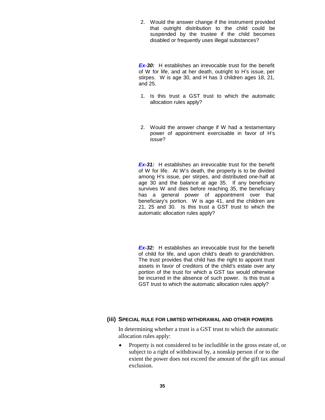2. Would the answer change if the instrument provided that outright distribution to the child could be suspended by the trustee if the child be[c](#page--1-15)omes disabled or frequently uses illegal substances?

*Ex-30:* H establishes an irrevocable trust for the benefit of W for life, and at her death, outright to H's issue, per stirpes. W is age 30, and H has 3 children ages 18, 21, and 25.

- 1. Is this trust a GST trust to which the automatic allocation rules apply?
- 2. Would the answer change if W had a testamentary powerof appointment exercisable in favor of H's issue?

**Ex-31:** H establishes an irrevocable trust for the benefit of W for life. At W's death, the property is to be divided among H's issue, per stirpes, and distributed one-half at age 30 and the balance at age 35. If any beneficiary survives W and dies before reaching 35, the beneficiary has a general power of appointment over that beneficiary's portion. W is age 41, and the children are 21, 25 and 30. Is this trust aGST trust to which the automatic allocation rules apply?

*Ex-32:* H establishes an irrevocable trust for the benefit of child for life, and upon child's death to grandchildren. The trust provides that child has the right to appoint trust assets in favor of creditors of the child's estate over any portion of the trust for which a GST tax would otherwise be incurred in the absence of such power. Is this trus[t](#page--1-18) a GST trust to which the automatic allocation rules apply?

### **(iii) SPECIAL RULE FOR LIMITED WITHDRAWAL AND OTHER POWERS**

In determining whether a trust is a GST trust to which the automatic allocation rules apply:

• Property is not considered to be includible in the gross estate of, or subject to a right of withdrawal by, a nonskip person if or to the extent the power does not exceed the amount of the gift tax annual exclusion.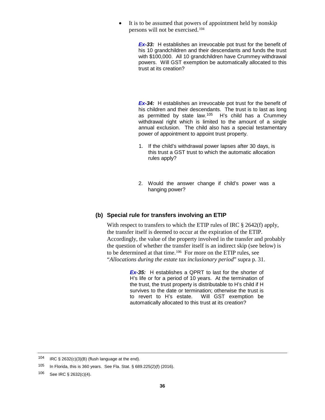• It is to be assumed that powers of appointment held by nonskip persons will not be exercised.[104](#page--1-19)

> **Ex-33:** H establishes an irrevocable pot trust for the benefit of his 10 grandchildren and their descendants and funds the trust with \$100,000. All 10 grandchildren have Crummey withdrawal powers. Will GST [e](#page--1-20)xemption be automatically allocated to this trust at its creation?

> *Ex-34:* H establishes an irrevocable pot trust for the benefit of his children and their descendants. The trust is to last as long as permitted by state law.[105](#page-35-0) H's child has a Crummey withdrawal right which is limited to the amount of a single annual exclusion. The child also has a special testamentary power of appointment to appoint trust property.

- 1. If the child's withdrawal power lapses after 30 days, is this trust a GST trust to which the automatic allocation rules apply?
- 2. Would the ans[w](#page--1-21)er change if child's power was a hanging power?

#### **(b) Special rule for transfers involving an ETIP**

With respect to transfers to which the ETIP rules of IRC § 2642(f) apply, the transfer itself is deemed to occur at the expiration of the ETIP. Accordingly, the value of the property involved in the transfer and probably the question of whether the transfer itself is an indirect skip (see below) is to be determined at that time.[106](#page-35-1) For more on the ETIP rules, see "*[Allocations during the estate tax inclusionary period](#page-30-4)*" supra p. [31.](#page-30-4)

> *Ex-35:* H establishes a QPRT to last for the shorter of H's life or for a period of 10 years. At the termination of the trust, the trust property is distributable to H's child if H survives to the date or termination; otherwise the trust is to revert to H's estate. Will GST exempt[io](#page--1-3)n be automatically allocated to this trust at its creation?

<sup>104</sup> IRC  $\S$  2632(c)(3)(B) (flush language at the end).

<span id="page-35-0"></span><sup>105</sup> In Florida, this is 360 years. See Fla. Stat. § 689.225(2)(f) (2016).

<span id="page-35-1"></span><sup>106</sup> See IRC § 2632(c)(4).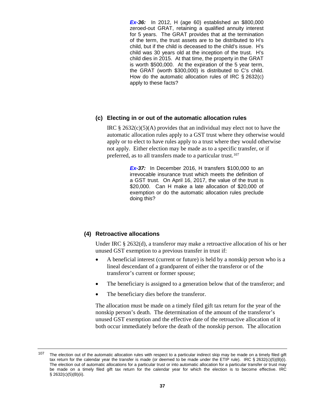*Ex-36:* In 2012, H (age 60) established an \$800,000 zeroed-out GRAT, retaining a qualified annuity interest for 5 years. The GRAT provides that at the termination of the term, the trust assets are to be distributed to H's child, but if the child is deceased to the child's issue. H's child was 30 years old at the inception of the trust. H's child dies in 2015. At that time, the property in the GRAT is worth \$500,000. At the expiration of the 5 year term, the GRAT (worth \$300,000) is distributed to C's child. How do the automa[ti](#page--1-22)c allocation rules of IRC § 2632(c) apply to these facts?

## **(c) Electing in or out of the automatic allocation rules**

IRC  $\S 2632(c)(5)(A)$  provides that an individual may elect not to have the automatic allocation rules apply to a GST trust where they otherwise would apply or to elect to have rules apply to a trust where they would otherwise not apply. Either election may be made as to a specific transfer, or if preferred, as to all transfers made to a particular trust.[107](#page--1-23) 

> **Ex-37:** In December 2016, H transfers \$100,000 to an irrevocable insurance trust which meets the definition of a GST trust. On April 16, 2017, the value of the trust is \$20,000. Can H make a late allocation of \$20,000 of exemption [o](#page--1-24)r do the automatic allocation rules preclude doing this?

#### **(4) Retroactive allocations**

Under IRC § 2632(d), a transferor may make a retroactive allocation of his or her unused GST exemption to a previous transfer in trust if:

- A beneficial interest (current or future) is held by a nonskip person who is a lineal descendant of a grandparent of either the transferor or of the transferor's current or former spouse;
- The beneficiary is assigned to a generation below that of the transferor; and
- The beneficiary dies before the transferor.

The allocation must be made on a timely filed gift tax return for the year of the nonskip person's death. The determination of the amount of the transferor's unused GST exemption and the effective date of the retroactive allocation of it both occur immediately before the death of the nonskip person. The allocation

<sup>&</sup>lt;sup>107</sup> The election out of the automatic allocation rules with respect to a particular indirect skip may be made on a timely filed gift tax return for the calendar year the transfer is made (or deemed to be made under the ETIP rule). IRC § 2632(c)(5)(B)(i). The election out of automatic allocations for a particular trust or into automatic allocation for a particular transfer or trust may be made on a timely filed gift tax return for the calendar year for which the election is to become effective. IRC  $\S$  2632(c)(5)(B)(ii).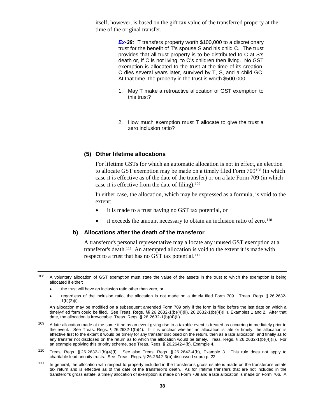itself, however, is based on the gift tax value of the transferred property at the time of the original transfer.

> *Ex-38:* T transfers property worth \$100,000 to a discretionary trust for the benefit of T's spouse S and his child C. The trust provides that all trust property is to be distributed to C at S's death or, if C is not living, to C's children then living. No GST exemption is allocated to the trust at the time of its creation. C dies several years later, survived by T, S, and a child GC. At that time, the property in the trust is worth \$500,000.

- 1. May T make a retroactive allocation of GST exemption to this trust?
- 2. How much exempti[o](#page--1-25)n must T allocate to give the trust a zero inclusion ratio?

#### **(5) Other lifetime allocations**

For lifetime GSTs for which an automatic allocation is not in effect, an election to allocate GST exemption may be made on a timely filed Form 709[108](#page--1-26) (in which case it is effective as of the date of the transfer) or on a late Form 709 (in which case it is effective from the date of filing).[109](#page-37-0) 

In either case, the allocation, which may be expressed as a formula, is void to the extent:

- it is made to a trust having no GST tax potential, or
- it exceeds the amount necessary to obtain an inclusion ratio of zero.<sup>[110](#page-37-1)</sup>

#### **b) Allocations after the death of the transferor**

A transferor's personal representative may allocate any unused GST exemption at a transferor's death.[111](#page-37-2) An attempted allocation is void to the extent it is made with respect to a trust that has no GST tax potential.<sup>[112](#page--1-27)</sup>

- the trust will have an inclusion ratio other than zero, or
- regardless of the inclusion ratio, the allocation is not made on a timely filed Form 709. Treas. Regs. § 26.2632- 1(b)(2)(i).

An allocation may be modified on a subsequent amended Form 709 only if the form is filed before the last date on which a timely-filed form could be filed. See Treas. Regs. §§ 26.2632-1(b)(4)(ii), 26.2632-1(b)(4)(iii), Examples 1 and 2. After that date, the allocation is irrevocable. Treas. Regs. § 26.2632-1(b)(4)(ii).

- <span id="page-37-0"></span><sup>109</sup> A late allocation made at the same time as an event giving rise to a taxable event is treated as occurring immediately prior to the event. See Treas. Regs. § 26.2632-1(b)(4). If it is unclear whether an allocation is late or timely, the allocation is effective first to the extent it would be timely for any transfer disclosed on the return, then as a late allocation, and finally as to any transfer not disclosed on the return as to which the allocation would be timely. Treas. Regs. § 26.2632-1(b)(4)(ii). For an example applying this priority scheme, see Treas. Regs. § 26.2642-4(b), Example 4.
- <span id="page-37-1"></span><sup>110</sup> Treas. Regs. § 26.2632-1(b)(4)(i). See also Treas. Regs. § 26.2642-4(b), Example 3. This rule does not apply to charitable lead annuity trusts. See Treas. Regs. § 26.2642-3(b) discussed supra p. 22.
- <span id="page-37-2"></span><sup>111</sup> In general, the allocation with respect to property included in the transferor's gross estate is made on the transferor's estate tax return and is effective as of the date of the transferor's death. As for lifetime transfers that are not included in the transferor's gross estate, a timely allocation of exemption is made on Form 709 and a late allocation is made on Form 706. A

 $108$  A voluntary allocation of GST exemption must state the value of the assets in the trust to which the exemption is being allocated if either: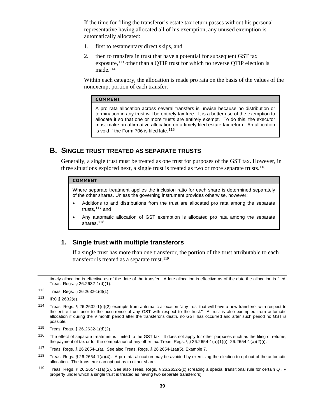If the time for filing the transferor's estate tax return passes without his personal representative having allocated all of his exemption, any unused exemption is automatically allocated:

- 1. first to testamentary direct skips, and
- 2. then to transfers in trust that have a potential for subsequent GST tax exposure,<sup>[113](#page--1-28)</sup> other than a QTIP trust for which no reverse QTIP election is made.[114](#page-38-0)

Within each category, the allocation is made pro rata on the basis of the values of the nonexempt portion of each transfer.

#### COMMENT

A pro rata allocation across several transfers is unwise because no distribution or termination in any trust will be entirely tax free. It is a better use of the exemption to allocate it so that one or more trusts are entirely exempt. To do this, the executor must make an affirmative allocation on a timely filed estate tax return. An allocation is void if the Form 706 is filed late.<sup>[115](#page-38-1)</sup>

## **B. SINGLE TRUST TREATED AS SEPARATE TRUSTS**

Generally, a single trust must be treated as one trust for purposes of the GST tax. However, in three situations explored next, a single trust is treated as two or more separate trusts.[116](#page-38-2) 

#### COMMENT

Where separate treatment applies the inclusion ratio for each share is determined separately of the other shares. Unless the governing instrument provides otherwise, however:

- Additions to and distributions from the trust are allocated pro rata among the separate trusts,[117](#page-38-3) and
- Any automatic allocation of GST exemption is allocated pro rata among the separate shares.<sup>[118](#page-38-4)</sup>

## **1. Single trust with multiple transferors**

If a single trust has more than one transferor, the portion of the trust attributable to each transferor is treated as a separate trust.<sup>[119](#page-38-5)</sup>

timely allocation is effective as of the date of the transfer. A late allocation is effective as of the date the allocation is filed. Treas. Regs. § 26.2632-1(d)(1).

<sup>113</sup> IRC § 2632(e).

- <span id="page-38-1"></span><sup>115</sup> Treas. Regs. § 26.2632-1(d)(2).
- <span id="page-38-2"></span> $116$  The effect of separate treatment is limited to the GST tax. It does not apply for other purposes such as the filing of returns, the payment of tax or for the computation of any other tax. Treas. Regs. §§ 26.2654-1(a)(1)(i); 26.2654-1(a)(2)(i).
- <span id="page-38-3"></span><sup>117</sup> Treas. Regs. § 26.2654-1(a). See also Treas. Regs. § 26.2654-1(a)(5), Example 7.
- <span id="page-38-4"></span>118 Treas. Regs. § 26.2654-1(a)(4). A pro rata allocation may be avoided by exercising the election to opt out of the automatic allocation. The transferor can opt out as to either share.
- <span id="page-38-5"></span><sup>119</sup> Treas. Regs. § 26.2654-1(a)(2). See also Treas. Regs. § 26.2652-2(c) (creating a special transitional rule for certain QTIP property under which a single trust is treated as having two separate transferors).

<sup>112</sup> Treas. Regs. § 26.2632-1(d)(1).

<span id="page-38-0"></span><sup>114</sup> Treas. Regs. § 26.2632-1(d)(2) exempts from automatic allocation "any trust that will have a new transferor with respect to the entire trust prior to the occurrence of any GST with respect to the trust." A trust is also exempted from automatic allocation if during the 9 month period after the transferor's death, no GST has occurred and after such period no GST is possible.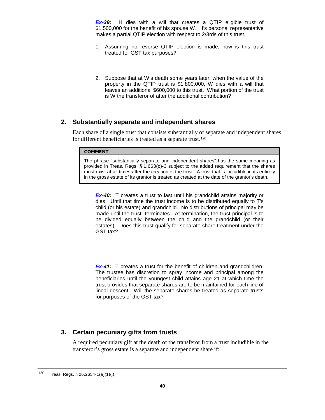*Ex-39:* H dies with a will that creates a QTIP eligible trust of \$1,500,000 for the benefit of his spouse W. H's personal representative makes a partial QTIP election with respect to 2/3rds of this trust.

- 1. Assuming no reverse QTIP election is made, how is this trust treated for GST tax purposes?
- 2. Suppose that at W's death some years later, when the value of the property in the QTIP trust is \$1,800,000, W dies with a will that leaves an additional \$600,000 to this trust. What portion of the trust is W the transferor of after the additional contribution?

## **2. Substantially separate and independent shares**

Each share of a single trust that consists substantially of separate and independent shares for different beneficiaries is treated as a separate trust.<sup>[120](#page--1-29)</sup>

### **COMMENT**

The phrase "substantially separate and independent shares" has the same meaning as provided in Treas. Regs. § 1.663(c)-3 subject to the added requirement that the shares must exist at all times after the creation of the trust. A trust that is includible in its entirety in the gross estate of its grantor is treated as created at the date of the grantor's death.

**Ex-40:** T creates a trust to last until his grandchild attains majority or dies. Until that time the trust income is to be distributed equally to T's child (or his estate) and grandchild. No distributions of principal may be made until the trust terminates. At termination, the trust principal is to be divided equally between the child and the grandchild (or their estates). [D](#page--1-30)oes this trust qualify for separate share treatment under the GST tax?

*Ex-41:* T creates a trust for the benefit of children and grandchildren. The trustee has discretion to spray income and principal among the beneficiaries until the youngest child attains age 21 at which time the trust provides that separate shares are to be maintained for each line of lineal descent. Will the sep[ar](#page--1-31)ate shares be treated as separate trusts for purposes of the GST tax?

## **3. Certain pecuniary gifts from trusts**

A required pecuniary gift at the death of the transferor from a trust includible in the transferor's gross estate is a separate and independent share if:

<sup>120</sup> Treas. Regs. § 26.2654-1(a)(1)(i).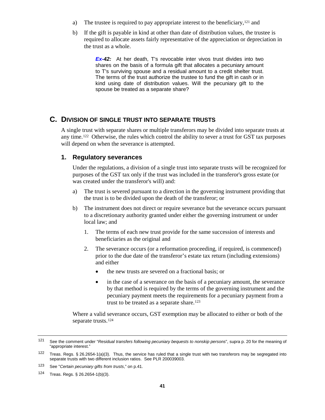- a) The trustee is required to pay appropriate interest to the beneficiary, $121$  and
- b) If the gift is payable in kind at other than date of distribution values, the trustee is required to allocate assets fairly representative of the appreciation or depreciation in the trust as a whole.

*Ex-42:* At her death, T's revocable inter vivos trust divides into two shares on the basis of a formula gift that allocates a pecuniary amount to T's surviving spouse and a residual amount to a credit shelter trust. The terms of the trust authorize the trustee to fund the gift in cash or in kind using date of distribution values. Will the pecuniary gift to the spouse be treated as a separate share?

## **C. DIVISION OF SINGLE TRUST INTO SEPARATE TRUSTS**

A single trust with separate shares or multiple transferors may be divided into separate trusts at any time.[122](#page-40-0) Otherwise, the rules which control the ability to sever a trust for GST tax purposes will depend on when the severance is attempted.

## **1. Regulatory severances**

Under the regulations, a division of a single trust into separate trusts will be recognized for purposes of the GST tax only if the trust was included in the transferor's gross estate (or was created under the transferor's will) and:

- a) The trust is severed pursuant to a direction in the governing instrument providing that the trust is to be divided upon the death of the transferor; or
- b) The instrument does not direct or require severance but the severance occurs pursuant to a discretionary authority granted under either the governing instrument or under local law; and
	- 1. The terms of each new trust provide for the same succession of interests and beneficiaries as the original and
	- 2. The severance occurs (or a reformation proceeding, if required, is commenced) prior to the due date of the transferor's estate tax return (including extensions) and either
		- the new trusts are severed on a fractional basis; or
		- in the case of a severance on the basis of a pecuniary amount, the severance by that method is required by the terms of the governing instrument and the pecuniary payment meets the requirements for a pecuniary payment from a trust to be treated as a separate share.<sup>[123](#page-40-1)</sup>

Where a valid severance occurs, GST exemption may be allocated to either or both of the separate trusts.<sup>[124](#page-40-2)</sup>

<sup>121</sup> See the comment under "*Residual transfers following pecuniary bequests to nonskip persons*", supra p. 20 for the meaning of "appropriate interest."

<span id="page-40-0"></span><sup>122</sup> Treas. Regs. § 26.2654-1(a)(3). Thus, the service has ruled that a single trust with two transferors may be segregated into separate trusts with two different inclusion ratios. See PLR 200039003.

<span id="page-40-1"></span><sup>123</sup> See "*Certain pecuniary gifts from trusts*," on p.41.

<span id="page-40-2"></span><sup>124</sup> Treas. Regs. § 26.2654-1(b)(3).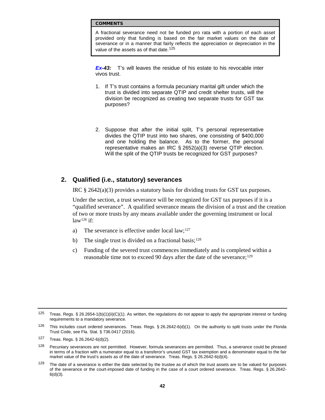A fractional severance need not be funded pro rata with a portion of each asset provided only that funding is based on the fair market values on the date of severance or in a manner that fairly reflects the appreciation or depreciation in the value of the assets as of that date.<sup>[125](#page--1-33)</sup>

*Ex-43:* T's will leaves the residue of his estate to his revocable inter vivos trust.

- 1. If T's trust contains a formula pecuniary marital gift under which the trust is divided into separate QTIP and credit shelter trusts, will the division be recognized as creating two separate trusts for GST tax purposes?
- 2. Suppose that after the initial split, T's personal representative divides the QTIP trust into two shares, one consisting of \$400,000 and one holding the balance. As to the former, the personal representative makes an IRC § 2652(a)(3) reverse QTIP election. Will the split of the QTIP trusts be recognized for GST purposes?

## **2. Qualified (i.e., statutory) severances**

IRC  $\S 2642(a)(3)$  provides a statutory basis for dividing trusts for GST tax purposes.

Under the section, a trust severance will be recognized for GST tax purposes if it is a "qualified severance". A qualified severance means the division of a trust and the creation of two or more trusts by any means available under the governing instrument or local  $law<sup>126</sup>$  $law<sup>126</sup>$  $law<sup>126</sup>$  if:

- a) The severance is effective under local law; $127$
- b) The single trust is divided on a fractional basis;<sup>[128](#page-41-2)</sup>
- c) Funding of the severed trust commences immediately and is completed within a reasonable time not to exceed 90 days after the date of the severance;<sup>[129](#page-41-3)</sup>

<sup>125</sup> Treas. Regs. § 26.2654-1(b)(1)(ii)(C)(1). As written, the regulations do not appear to apply the appropriate interest or funding requirements to a mandatory severance.

<span id="page-41-0"></span><sup>126</sup> This includes court ordered severances. Treas. Regs. § 26.2642-6(d)(1). On the authority to split trusts under the Florida Trust Code, see Fla. Stat. § 736.0417 (2016).

<span id="page-41-1"></span><sup>127</sup> Treas. Regs. § 26.2642-6(d)(2).

<span id="page-41-2"></span> $128$  Pecuniary severances are not permitted. However, formula severances are permitted. Thus, a severance could be phrased in terms of a fraction with a numerator equal to a transferor's unused GST tax exemption and a denominator equal to the fair market value of the trust's assets as of the date of severance. Treas. Regs. § 26.2642-6(d)(4).

<span id="page-41-3"></span> $129$  The date of a severance is either the date selected by the trustee as of which the trust assets are to be valued for purposes of the severance or the court-imposed date of funding in the case of a court ordered severance. Treas. Regs. § 26.2642-  $6(d)(3)$ .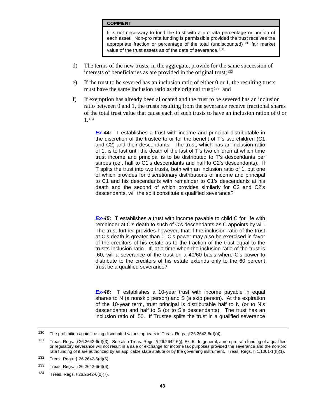It is not necessary to fund the trust with a pro rata percentage or portion of each asset. Non-pro rata funding is permissible provided the trust receives the appropriate fraction or percentage of the total (undiscounted)<sup>[130](#page--1-34)</sup> fair market value of the trust assets as of the date of severance.<sup>131</sup>

- d) The terms of the new trusts, in the aggregate, provide for the same succession of interests of beneficiaries as are provided in the original trust;[132](#page-42-1)
- e) If the trust to be severed has an inclusion ratio of either 0 or 1, the resulting trusts must have the same inclusion ratio as the original trust;<sup>133</sup> and
- f) If exemption has already been allocated and the trust to be severed has an inclusion ratio between 0 and 1, the trusts resulting from the severance receive fractional shares of the total trust value that cause each of such trusts to have an inclusion ration of 0 or 1.[134](#page-42-3)

*Ex-44:* T establishes a trust with income and principal distributable in the discretion of the trustee to or for the benefit of T's two children (C1 and C2) and their descendants. The trust, which has an inclusion ratio of 1, is to last until the death of the last of T's two children at which time trust income and principal is to be distributed to T's descendants per stirpes (i.e., half to C1's descendants and half to C2's descendants). If T splits the trust into two trusts, both with an inclusion ratio of 1, but one of which provides for discretionary distributions of income and principal to C1 and his descendants with remainder to C1's descendants at his death and the second of which provides similarly for C2 and C2's descendants, will the split constitute a qualified severance?

*Ex-45:* T establishes a trust with income payable to child C for life with remainder at C's death to such of C's descendants as C appoints by will. The trust further provides however, that if the inclusion ratio of the trust at C's death is greater than 0, C's power may also be exercised in favor of the creditors of his estate as to the fraction of the trust equal to the trust's inclusion ratio. If, at a time when the inclusion ratio of the trust is .60, will a severance of the trust on a 40/60 basis where C's power to distribute to the creditors of his estate extends only to the 60 percent trust be a qualified severance?

**Ex-46:** T establishes a 10-year trust with income payable in equal shares to N (a nonskip person) and S (a skip person). At the expiration of the 10-year term, trust principal is distributable half to N (or to N's descendants) and half to S (or to S's descendants). The trust has an inclusion ratio of .50. If Trustee splits the trust in a qualified severance

<sup>130</sup> The prohibition against using discounted values appears in Treas. Regs. § 26.2642-6(d)(4).

<span id="page-42-0"></span><sup>131</sup> Treas. Regs. § 26.2642-6(d)(3). See also Treas. Regs. § 26.2642-6(j), Ex. 5. In general, a non-pro rata funding of a qualified or regulatory severance will not result in a sale or exchange for income tax purposes provided the severance and the non-pro rata funding of it are authorized by an applicable state statute or by the governing instrument. Treas. Regs. § 1.1001-1(h)(1).

<span id="page-42-1"></span><sup>132</sup> Treas. Regs. § 26.2642-6(d)(5).

<span id="page-42-2"></span><sup>133</sup> Treas. Regs. § 26.2642-6(d)(6).

<span id="page-42-3"></span><sup>134</sup> Treas. Regs. §26.2642-6(d)(7).